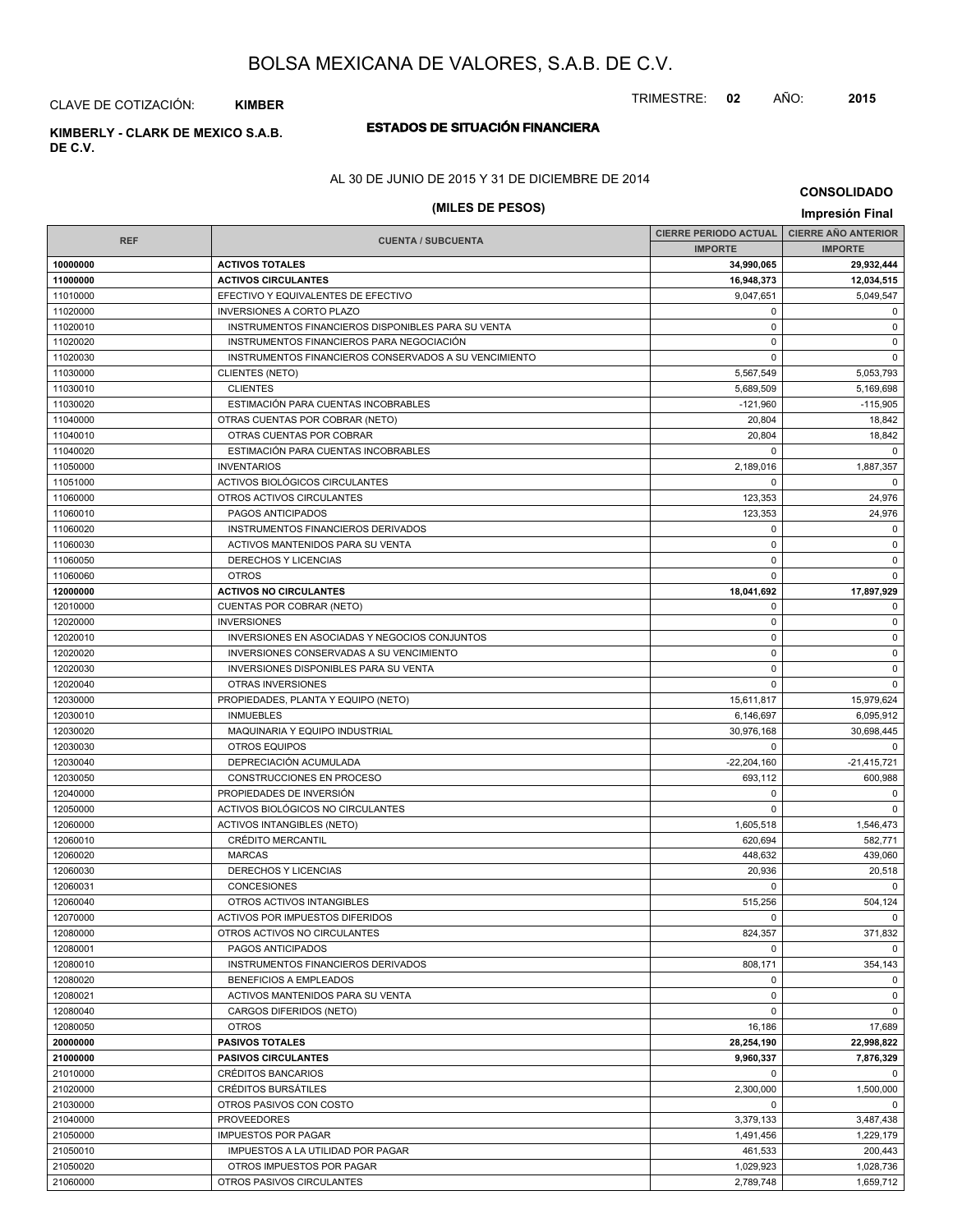TRIMESTRE: **02** AÑO: **2015**

CLAVE DE COTIZACIÓN: **KIMBER**

**DE C.V.**

### **ESTADOS DE SITUACIÓN FINANCIERA KIMBERLY - CLARK DE MEXICO S.A.B.**

AL 30 DE JUNIO DE 2015 Y 31 DE DICIEMBRE DE 2014

# **(MILES DE PESOS) Impresión Final**

|                      |                                                             | CIERRE PERIODO ACTUAL   CIERRE AÑO ANTERIOR |                          |
|----------------------|-------------------------------------------------------------|---------------------------------------------|--------------------------|
| <b>REF</b>           | <b>CUENTA / SUBCUENTA</b>                                   | <b>IMPORTE</b>                              | <b>IMPORTE</b>           |
| 10000000             | <b>ACTIVOS TOTALES</b>                                      | 34,990,065                                  | 29,932,444               |
| 11000000             | <b>ACTIVOS CIRCULANTES</b>                                  | 16,948,373                                  | 12,034,515               |
| 11010000             | EFECTIVO Y EQUIVALENTES DE EFECTIVO                         | 9,047,651                                   | 5,049,547                |
| 11020000             | <b>INVERSIONES A CORTO PLAZO</b>                            | $\mathbf 0$                                 | $\mathbf 0$              |
| 11020010             | INSTRUMENTOS FINANCIEROS DISPONIBLES PARA SU VENTA          | $\mathbf 0$                                 | $\mathsf 0$              |
| 11020020             | INSTRUMENTOS FINANCIEROS PARA NEGOCIACIÓN                   | 0                                           | $\mathbf 0$              |
| 11020030             | INSTRUMENTOS FINANCIEROS CONSERVADOS A SU VENCIMIENTO       | $\mathbf 0$                                 | $\mathbf 0$              |
| 11030000             | <b>CLIENTES (NETO)</b>                                      | 5,567,549                                   | 5,053,793                |
| 11030010             | <b>CLIENTES</b>                                             | 5,689,509                                   | 5,169,698                |
| 11030020             | ESTIMACIÓN PARA CUENTAS INCOBRABLES                         | $-121,960$                                  | $-115,905$               |
| 11040000             | OTRAS CUENTAS POR COBRAR (NETO)                             | 20,804                                      | 18,842                   |
| 11040010             | OTRAS CUENTAS POR COBRAR                                    | 20,804                                      | 18,842                   |
| 11040020             | ESTIMACIÓN PARA CUENTAS INCOBRABLES                         | $\mathbf 0$                                 | $\mathbf 0$              |
| 11050000             | <b>INVENTARIOS</b>                                          | 2,189,016                                   | 1,887,357                |
| 11051000             | ACTIVOS BIOLÓGICOS CIRCULANTES                              | 0                                           | $\mathbf 0$              |
| 11060000             | OTROS ACTIVOS CIRCULANTES                                   | 123,353                                     | 24,976                   |
| 11060010             | PAGOS ANTICIPADOS                                           | 123,353                                     | 24,976                   |
| 11060020             | INSTRUMENTOS FINANCIEROS DERIVADOS                          | $\mathbf 0$                                 | $\mathbf 0$              |
| 11060030             | ACTIVOS MANTENIDOS PARA SU VENTA                            | $\mathbf 0$                                 | $\mathbf 0$              |
| 11060050             | DERECHOS Y LICENCIAS                                        | $\mathbf 0$                                 | $\mathbf 0$              |
| 11060060             | <b>OTROS</b>                                                | 0                                           | $\mathbf 0$              |
| 12000000             | <b>ACTIVOS NO CIRCULANTES</b>                               | 18,041,692                                  | 17,897,929               |
| 12010000             | CUENTAS POR COBRAR (NETO)                                   | $\mathbf 0$                                 | $\mathbf 0$              |
| 12020000             | <b>INVERSIONES</b>                                          | 0                                           | $\mathbf 0$              |
| 12020010             | INVERSIONES EN ASOCIADAS Y NEGOCIOS CONJUNTOS               | 0                                           | $\mathbf 0$              |
| 12020020             | INVERSIONES CONSERVADAS A SU VENCIMIENTO                    | $\mathbf 0$                                 | $\mathsf 0$              |
| 12020030             | INVERSIONES DISPONIBLES PARA SU VENTA                       | 0                                           | $\mathbf 0$              |
| 12020040             | OTRAS INVERSIONES                                           | $\mathbf 0$                                 | $\mathbf 0$              |
| 12030000             | PROPIEDADES, PLANTA Y EQUIPO (NETO)                         | 15,611,817                                  | 15,979,624               |
| 12030010             | <b>INMUEBLES</b>                                            | 6,146,697                                   | 6,095,912                |
| 12030020             | MAQUINARIA Y EQUIPO INDUSTRIAL                              | 30,976,168                                  | 30,698,445               |
| 12030030             | <b>OTROS EQUIPOS</b>                                        | $\mathbf 0$                                 | $\mathbf 0$              |
| 12030040             | DEPRECIACIÓN ACUMULADA                                      | $-22,204,160$                               | -21,415,721              |
| 12030050             | CONSTRUCCIONES EN PROCESO                                   | 693,112                                     | 600,988                  |
| 12040000             | PROPIEDADES DE INVERSIÓN                                    | $\mathbf 0$                                 | $\mathbf 0$              |
| 12050000             | ACTIVOS BIOLÓGICOS NO CIRCULANTES                           | 0                                           | $\mathbf 0$              |
| 12060000             | <b>ACTIVOS INTANGIBLES (NETO)</b>                           | 1,605,518                                   | 1,546,473                |
| 12060010             | <b>CRÉDITO MERCANTIL</b>                                    | 620,694                                     | 582,771                  |
| 12060020             | <b>MARCAS</b>                                               | 448,632                                     | 439,060                  |
| 12060030             | <b>DERECHOS Y LICENCIAS</b>                                 | 20,936                                      | 20,518                   |
| 12060031             | <b>CONCESIONES</b>                                          | $\mathbf 0$                                 | $\Omega$                 |
| 12060040             | OTROS ACTIVOS INTANGIBLES                                   | 515,256                                     | 504,124                  |
| 12070000             | ACTIVOS POR IMPUESTOS DIFERIDOS                             | $\Omega$                                    | $\mathbf 0$              |
| 12080000             | OTROS ACTIVOS NO CIRCULANTES                                | 824,357                                     | 371,832                  |
| 12080001             | PAGOS ANTICIPADOS                                           | 0                                           | 0                        |
| 12080010             | INSTRUMENTOS FINANCIEROS DERIVADOS                          | 808,171                                     | 354,143                  |
| 12080020             | BENEFICIOS A EMPLEADOS                                      | 0                                           | $\mathbf 0$              |
|                      |                                                             | 0                                           | $\mathbf 0$              |
| 12080021<br>12080040 | ACTIVOS MANTENIDOS PARA SU VENTA<br>CARGOS DIFERIDOS (NETO) | $\mathsf 0$                                 | $\mathbf 0$              |
|                      |                                                             |                                             |                          |
| 12080050<br>20000000 | <b>OTROS</b>                                                | 16,186                                      | 17,689<br>22,998,822     |
| 21000000             | <b>PASIVOS TOTALES</b><br><b>PASIVOS CIRCULANTES</b>        | 28,254,190                                  | 7,876,329                |
|                      |                                                             | 9,960,337                                   |                          |
| 21010000             | <b>CRÉDITOS BANCARIOS</b>                                   | $\mathbf 0$                                 | $\mathbf 0$              |
| 21020000             | CRÉDITOS BURSÁTILES<br>OTROS PASIVOS CON COSTO              | 2,300,000                                   | 1,500,000<br>$\mathbf 0$ |
| 21030000             |                                                             | 0                                           |                          |
| 21040000             | <b>PROVEEDORES</b>                                          | 3,379,133                                   | 3,487,438                |
| 21050000             | <b>IMPUESTOS POR PAGAR</b>                                  | 1,491,456                                   | 1,229,179                |
| 21050010             | IMPUESTOS A LA UTILIDAD POR PAGAR                           | 461,533                                     | 200,443                  |
| 21050020             | OTROS IMPUESTOS POR PAGAR                                   | 1,029,923                                   | 1,028,736                |
| 21060000             | OTROS PASIVOS CIRCULANTES                                   | 2,789,748                                   | 1,659,712                |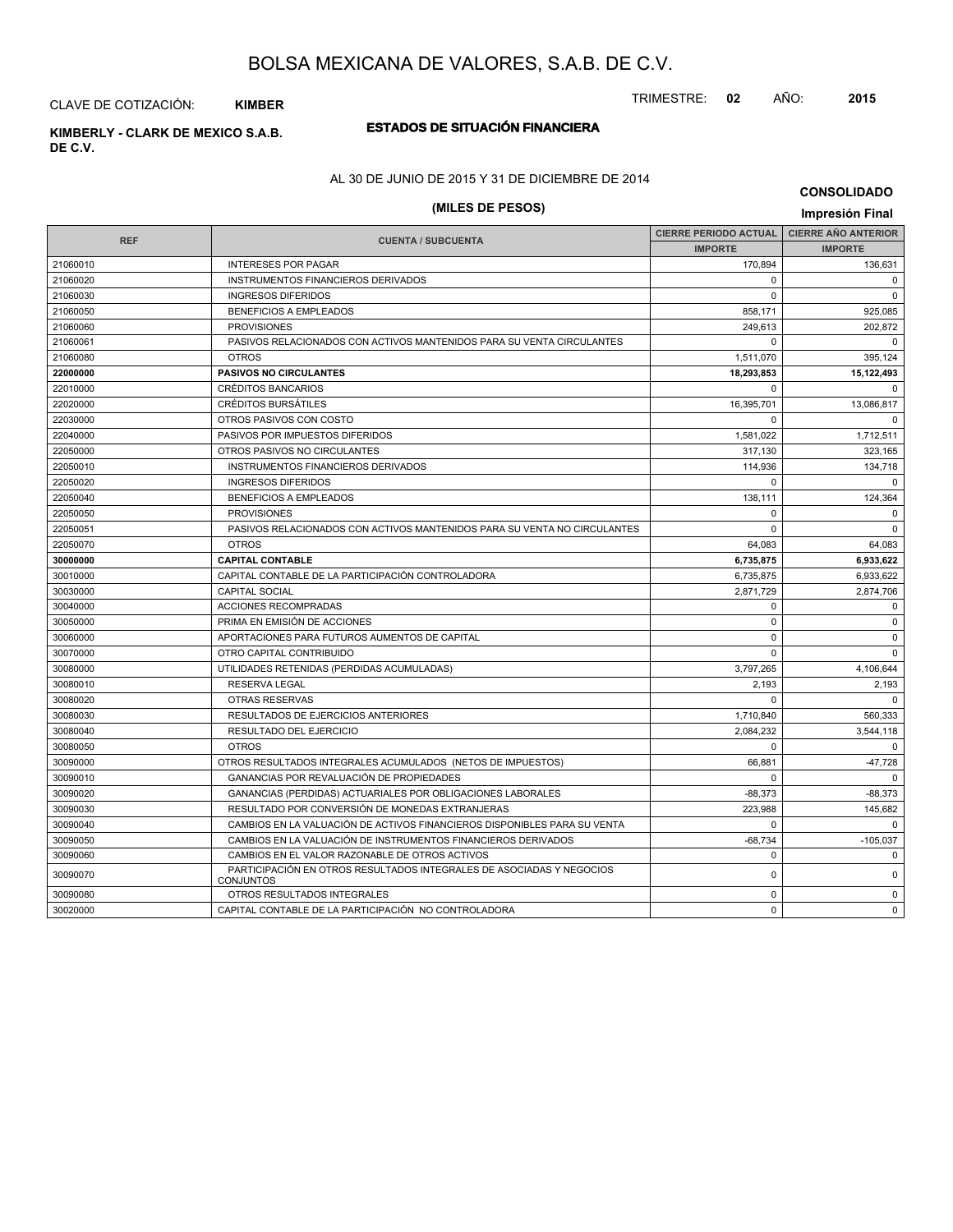TRIMESTRE: **02** AÑO: **2015**

CLAVE DE COTIZACIÓN: **KIMBER**

# **ESTADOS DE SITUACIÓN FINANCIERA KIMBERLY - CLARK DE MEXICO S.A.B.**

**DE C.V.**

### AL 30 DE JUNIO DE 2015 Y 31 DE DICIEMBRE DE 2014

# **(MILES DE PESOS) Impresión Final**

|            |                                                                                          | <b>CIERRE PERIODO ACTUAL</b> | <b>CIERRE AÑO ANTERIOR</b> |
|------------|------------------------------------------------------------------------------------------|------------------------------|----------------------------|
| <b>REF</b> | <b>CUENTA / SUBCUENTA</b>                                                                | <b>IMPORTE</b>               | <b>IMPORTE</b>             |
| 21060010   | <b>INTERESES POR PAGAR</b>                                                               | 170,894                      | 136,631                    |
| 21060020   | INSTRUMENTOS FINANCIEROS DERIVADOS                                                       | $\Omega$                     | $\mathbf 0$                |
| 21060030   | <b>INGRESOS DIFERIDOS</b>                                                                | $\Omega$                     | $\mathbf 0$                |
| 21060050   | <b>BENEFICIOS A EMPLEADOS</b>                                                            | 858,171                      | 925,085                    |
| 21060060   | <b>PROVISIONES</b>                                                                       | 249,613                      | 202,872                    |
| 21060061   | PASIVOS RELACIONADOS CON ACTIVOS MANTENIDOS PARA SU VENTA CIRCULANTES                    | $\Omega$                     | $\Omega$                   |
| 21060080   | <b>OTROS</b>                                                                             | 1,511,070                    | 395,124                    |
| 22000000   | <b>PASIVOS NO CIRCULANTES</b>                                                            | 18,293,853                   | 15,122,493                 |
| 22010000   | <b>CRÉDITOS BANCARIOS</b>                                                                | $\Omega$                     | $\Omega$                   |
| 22020000   | <b>CRÉDITOS BURSÁTILES</b>                                                               | 16,395,701                   | 13,086,817                 |
| 22030000   | OTROS PASIVOS CON COSTO                                                                  | $\Omega$                     | $\Omega$                   |
| 22040000   | PASIVOS POR IMPUESTOS DIFERIDOS                                                          | 1,581,022                    | 1,712,511                  |
| 22050000   | OTROS PASIVOS NO CIRCULANTES                                                             | 317.130                      | 323.165                    |
| 22050010   | INSTRUMENTOS FINANCIEROS DERIVADOS                                                       | 114.936                      | 134,718                    |
| 22050020   | <b>INGRESOS DIFERIDOS</b>                                                                | $\Omega$                     | $\Omega$                   |
| 22050040   | <b>BENEFICIOS A EMPLEADOS</b>                                                            | 138.111                      | 124,364                    |
| 22050050   | <b>PROVISIONES</b>                                                                       | $\Omega$                     | $\Omega$                   |
| 22050051   | PASIVOS RELACIONADOS CON ACTIVOS MANTENIDOS PARA SU VENTA NO CIRCULANTES                 | $\Omega$                     | $\mathbf 0$                |
| 22050070   | <b>OTROS</b>                                                                             | 64.083                       | 64,083                     |
| 30000000   | <b>CAPITAL CONTABLE</b>                                                                  | 6.735.875                    | 6.933.622                  |
| 30010000   | CAPITAL CONTABLE DE LA PARTICIPACIÓN CONTROLADORA                                        | 6,735,875                    | 6,933,622                  |
| 30030000   | <b>CAPITAL SOCIAL</b>                                                                    | 2,871,729                    | 2,874,706                  |
| 30040000   | ACCIONES RECOMPRADAS                                                                     | $\mathbf 0$                  | $\mathbf 0$                |
| 30050000   | PRIMA EN EMISIÓN DE ACCIONES                                                             | $\mathbf 0$                  | $\mathbf 0$                |
| 30060000   | APORTACIONES PARA FUTUROS AUMENTOS DE CAPITAL                                            | $\mathbf 0$                  | $\mathbf 0$                |
| 30070000   | OTRO CAPITAL CONTRIBUIDO                                                                 | $\Omega$                     | $\mathbf 0$                |
| 30080000   | UTILIDADES RETENIDAS (PERDIDAS ACUMULADAS)                                               | 3,797,265                    | 4,106,644                  |
| 30080010   | <b>RESERVA LEGAL</b>                                                                     | 2,193                        | 2,193                      |
| 30080020   | <b>OTRAS RESERVAS</b>                                                                    | $\Omega$                     | $\Omega$                   |
| 30080030   | RESULTADOS DE EJERCICIOS ANTERIORES                                                      | 1,710,840                    | 560,333                    |
| 30080040   | <b>RESULTADO DEL EJERCICIO</b>                                                           | 2,084,232                    | 3,544,118                  |
| 30080050   | <b>OTROS</b>                                                                             | $\Omega$                     | $\Omega$                   |
| 30090000   | OTROS RESULTADOS INTEGRALES ACUMULADOS (NETOS DE IMPUESTOS)                              | 66,881                       | $-47,728$                  |
| 30090010   | <b>GANANCIAS POR REVALUACIÓN DE PROPIEDADES</b>                                          | $\Omega$                     | $\Omega$                   |
| 30090020   | GANANCIAS (PERDIDAS) ACTUARIALES POR OBLIGACIONES LABORALES                              | $-88,373$                    | $-88,373$                  |
| 30090030   | RESULTADO POR CONVERSIÓN DE MONEDAS EXTRANJERAS                                          | 223,988                      | 145,682                    |
| 30090040   | CAMBIOS EN LA VALUACIÓN DE ACTIVOS FINANCIEROS DISPONIBLES PARA SU VENTA                 | $\Omega$                     | $\Omega$                   |
| 30090050   | CAMBIOS EN LA VALUACIÓN DE INSTRUMENTOS FINANCIEROS DERIVADOS                            | $-68,734$                    | $-105,037$                 |
| 30090060   | CAMBIOS EN EL VALOR RAZONABLE DE OTROS ACTIVOS                                           | $\Omega$                     | $\mathbf 0$                |
| 30090070   | PARTICIPACIÓN EN OTROS RESULTADOS INTEGRALES DE ASOCIADAS Y NEGOCIOS<br><b>CONJUNTOS</b> | $\mathbf 0$                  | $\mathbf 0$                |
| 30090080   | OTROS RESULTADOS INTEGRALES                                                              | $\Omega$                     | $\Omega$                   |
| 30020000   | CAPITAL CONTABLE DE LA PARTICIPACIÓN NO CONTROLADORA                                     | $\Omega$                     | $\mathbf 0$                |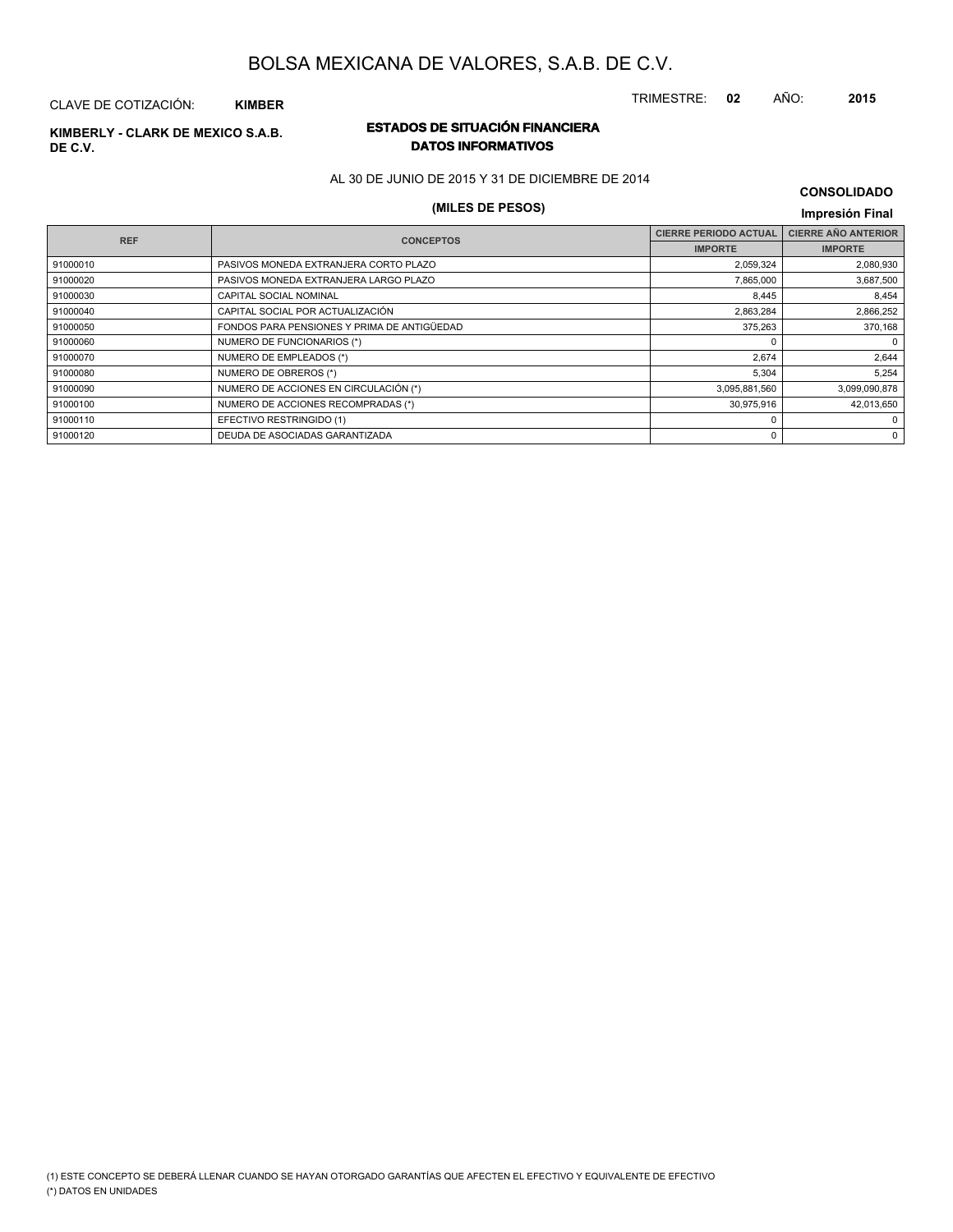TRIMESTRE: **02** AÑO: **2015**

### CLAVE DE COTIZACIÓN: **KIMBER**

# **DE C.V.**

### **ESTADOS DE SITUACIÓN FINANCIERA KIMBERLY - CLARK DE MEXICO S.A.B. DATOS INFORMATIVOS**

AL 30 DE JUNIO DE 2015 Y 31 DE DICIEMBRE DE 2014

# **(MILES DE PESOS) Impresión Final**

| <b>CONSOLIDADO</b> |  |
|--------------------|--|
|--------------------|--|

| <b>REF</b> | <b>CONCEPTOS</b>                            | <b>CIERRE PERIODO ACTUAL</b> | <b>CIERRE AÑO ANTERIOR</b> |
|------------|---------------------------------------------|------------------------------|----------------------------|
|            |                                             | <b>IMPORTE</b>               | <b>IMPORTE</b>             |
| 91000010   | PASIVOS MONEDA EXTRANJERA CORTO PLAZO       | 2,059,324                    | 2,080,930                  |
| 91000020   | PASIVOS MONEDA EXTRANJERA LARGO PLAZO       | 7,865,000                    | 3,687,500                  |
| 91000030   | CAPITAL SOCIAL NOMINAL                      | 8,445                        | 8,454                      |
| 91000040   | CAPITAL SOCIAL POR ACTUALIZACIÓN            | 2,863,284                    | 2,866,252                  |
| 91000050   | FONDOS PARA PENSIONES Y PRIMA DE ANTIGÜEDAD | 375,263                      | 370,168                    |
| 91000060   | NUMERO DE FUNCIONARIOS (*)                  |                              | $\mathbf 0$                |
| 91000070   | NUMERO DE EMPLEADOS (*)                     | 2,674                        | 2,644                      |
| 91000080   | NUMERO DE OBREROS (*)                       | 5,304                        | 5,254                      |
| 91000090   | NUMERO DE ACCIONES EN CIRCULACIÓN (*)       | 3,095,881,560                | 3,099,090,878              |
| 91000100   | NUMERO DE ACCIONES RECOMPRADAS (*)          | 30,975,916                   | 42,013,650                 |
| 91000110   | EFECTIVO RESTRINGIDO (1)                    |                              | 0                          |
| 91000120   | DEUDA DE ASOCIADAS GARANTIZADA              | n                            | $\Omega$                   |
|            |                                             |                              |                            |

#### (\*) DATOS EN UNIDADES (1) ESTE CONCEPTO SE DEBERÁ LLENAR CUANDO SE HAYAN OTORGADO GARANTÍAS QUE AFECTEN EL EFECTIVO Y EQUIVALENTE DE EFECTIVO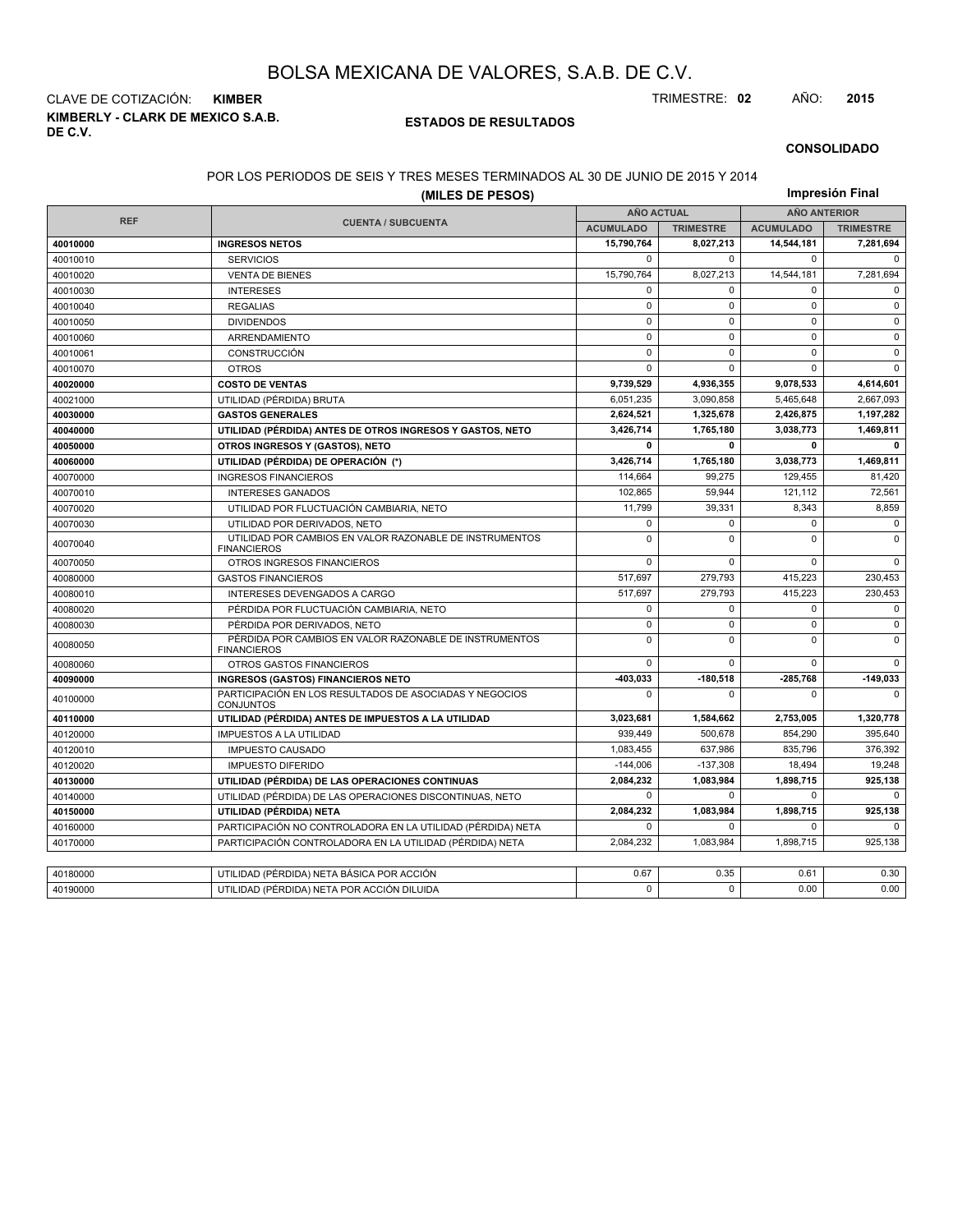**KIMBERLY - CLARK DE MEXICO S.A.B. DE C.V.** CLAVE DE COTIZACIÓN: **KIMBER** TRIMESTRE: **02** AÑO: **2015**

### **ESTADOS DE RESULTADOS**

### **CONSOLIDADO**

### POR LOS PERIODOS DE SEIS Y TRES MESES TERMINADOS AL 30 DE JUNIO DE 2015 Y 2014

|            |                                                                               | Impresión Final   |                  |                     |                  |  |  |
|------------|-------------------------------------------------------------------------------|-------------------|------------------|---------------------|------------------|--|--|
|            |                                                                               | <b>AÑO ACTUAL</b> |                  | <b>AÑO ANTERIOR</b> |                  |  |  |
| <b>REF</b> | <b>CUENTA / SUBCUENTA</b>                                                     | <b>ACUMULADO</b>  | <b>TRIMESTRE</b> | <b>ACUMULADO</b>    | <b>TRIMESTRE</b> |  |  |
| 40010000   | <b>INGRESOS NETOS</b>                                                         | 15,790,764        | 8,027,213        | 14,544,181          | 7,281,694        |  |  |
| 40010010   | <b>SERVICIOS</b>                                                              | 0                 | $\Omega$         | $\Omega$            | $\Omega$         |  |  |
| 40010020   | <b>VENTA DE BIENES</b>                                                        | 15,790,764        | 8,027,213        | 14,544,181          | 7,281,694        |  |  |
| 40010030   | <b>INTERESES</b>                                                              | $\mathbf 0$       | $\mathbf 0$      | $\mathbf 0$         | $\mathbf 0$      |  |  |
| 40010040   | <b>REGALIAS</b>                                                               | $\mathbf 0$       | $\mathsf 0$      | 0                   | $\mathsf 0$      |  |  |
| 40010050   | <b>DIVIDENDOS</b>                                                             | $\mathbf 0$       | $\mathbf 0$      | $\mathbf 0$         | $\mathbf 0$      |  |  |
| 40010060   | ARRENDAMIENTO                                                                 | $\mathbf 0$       | $\mathbf 0$      | $\mathbf 0$         | $\mathbf 0$      |  |  |
| 40010061   | <b>CONSTRUCCIÓN</b>                                                           | $\mathbf 0$       | $\Omega$         | $\Omega$            | $\mathbf 0$      |  |  |
| 40010070   | <b>OTROS</b>                                                                  | 0                 | $\mathbf 0$      | $\mathbf 0$         | $\mathbf 0$      |  |  |
| 40020000   | <b>COSTO DE VENTAS</b>                                                        | 9,739,529         | 4,936,355        | 9,078,533           | 4,614,601        |  |  |
| 40021000   | UTILIDAD (PÉRDIDA) BRUTA                                                      | 6,051,235         | 3,090,858        | 5,465,648           | 2,667,093        |  |  |
| 40030000   | <b>GASTOS GENERALES</b>                                                       | 2,624,521         | 1,325,678        | 2,426,875           | 1,197,282        |  |  |
| 40040000   | UTILIDAD (PÉRDIDA) ANTES DE OTROS INGRESOS Y GASTOS, NETO                     | 3,426,714         | 1,765,180        | 3,038,773           | 1,469,811        |  |  |
| 40050000   | OTROS INGRESOS Y (GASTOS), NETO                                               | 0                 | $\mathbf{0}$     | 0                   | $\mathbf{0}$     |  |  |
| 40060000   | UTILIDAD (PÉRDIDA) DE OPERACIÓN (*)                                           | 3,426,714         | 1,765,180        | 3,038,773           | 1,469,811        |  |  |
| 40070000   | <b>INGRESOS FINANCIEROS</b>                                                   | 114.664           | 99.275           | 129.455             | 81.420           |  |  |
| 40070010   | <b>INTERESES GANADOS</b>                                                      | 102,865           | 59,944           | 121,112             | 72,561           |  |  |
| 40070020   | UTILIDAD POR FLUCTUACIÓN CAMBIARIA, NETO                                      | 11,799            | 39,331           | 8,343               | 8,859            |  |  |
| 40070030   | UTILIDAD POR DERIVADOS, NETO                                                  | $\mathbf 0$       | $\Omega$         | 0                   | $\mathbf 0$      |  |  |
| 40070040   | UTILIDAD POR CAMBIOS EN VALOR RAZONABLE DE INSTRUMENTOS<br><b>FINANCIEROS</b> | 0                 | 0                | 0                   | $\mathbf 0$      |  |  |
| 40070050   | OTROS INGRESOS FINANCIEROS                                                    | 0                 | $\Omega$         | $\Omega$            | $\Omega$         |  |  |
| 40080000   | <b>GASTOS FINANCIEROS</b>                                                     | 517,697           | 279,793          | 415,223             | 230,453          |  |  |
| 40080010   | INTERESES DEVENGADOS A CARGO                                                  | 517,697           | 279.793          | 415,223             | 230,453          |  |  |
| 40080020   | PÉRDIDA POR FLUCTUACIÓN CAMBIARIA, NETO                                       | 0                 | $\mathbf 0$      | 0                   | $\mathbf 0$      |  |  |
| 40080030   | PÉRDIDA POR DERIVADOS, NETO                                                   | 0                 | 0                | 0                   | $\mathbf 0$      |  |  |
| 40080050   | PÉRDIDA POR CAMBIOS EN VALOR RAZONABLE DE INSTRUMENTOS<br><b>FINANCIEROS</b>  | 0                 | $\mathbf 0$      | $\Omega$            | $\mathbf 0$      |  |  |
| 40080060   | OTROS GASTOS FINANCIEROS                                                      | 0                 | $\pmb{0}$        | 0                   | $\mathbf 0$      |  |  |
| 40090000   | <b>INGRESOS (GASTOS) FINANCIEROS NETO</b>                                     | -403.033          | $-180.518$       | -285,768            | $-149,033$       |  |  |
| 40100000   | PARTICIPACIÓN EN LOS RESULTADOS DE ASOCIADAS Y NEGOCIOS<br><b>CONJUNTOS</b>   | 0                 | $\Omega$         | $\mathbf 0$         | $\Omega$         |  |  |
| 40110000   | UTILIDAD (PÉRDIDA) ANTES DE IMPUESTOS A LA UTILIDAD                           | 3,023,681         | 1,584,662        | 2,753,005           | 1,320,778        |  |  |
| 40120000   | <b>IMPUESTOS A LA UTILIDAD</b>                                                | 939,449           | 500.678          | 854,290             | 395,640          |  |  |
| 40120010   | <b>IMPUESTO CAUSADO</b>                                                       | 1,083,455         | 637,986          | 835,796             | 376,392          |  |  |
| 40120020   | <b>IMPUESTO DIFERIDO</b>                                                      | $-144,006$        | $-137,308$       | 18,494              | 19,248           |  |  |
| 40130000   | UTILIDAD (PÉRDIDA) DE LAS OPERACIONES CONTINUAS                               | 2,084,232         | 1,083,984        | 1,898,715           | 925,138          |  |  |
| 40140000   | UTILIDAD (PÉRDIDA) DE LAS OPERACIONES DISCONTINUAS, NETO                      | 0                 | $\Omega$         | $\mathbf 0$         | $\Omega$         |  |  |
| 40150000   | UTILIDAD (PÉRDIDA) NETA                                                       | 2,084,232         | 1,083,984        | 1,898,715           | 925,138          |  |  |
| 40160000   | PARTICIPACIÓN NO CONTROLADORA EN LA UTILIDAD (PÉRDIDA) NETA                   | 0                 | 0                | 0                   | $\Omega$         |  |  |
| 40170000   | PARTICIPACIÓN CONTROLADORA EN LA UTILIDAD (PÉRDIDA) NETA                      | 2,084,232         | 1,083,984        | 1,898,715           | 925,138          |  |  |
|            |                                                                               |                   |                  |                     |                  |  |  |
| 40180000   | UTILIDAD (PÉRDIDA) NETA BÁSICA POR ACCIÓN                                     | 0.67              | 0.35             | 0.61                | 0.30             |  |  |
| 40190000   | UTILIDAD (PÉRDIDA) NETA POR ACCIÓN DILUIDA                                    | $\Omega$          | $\Omega$         | 0.00                | 0.00             |  |  |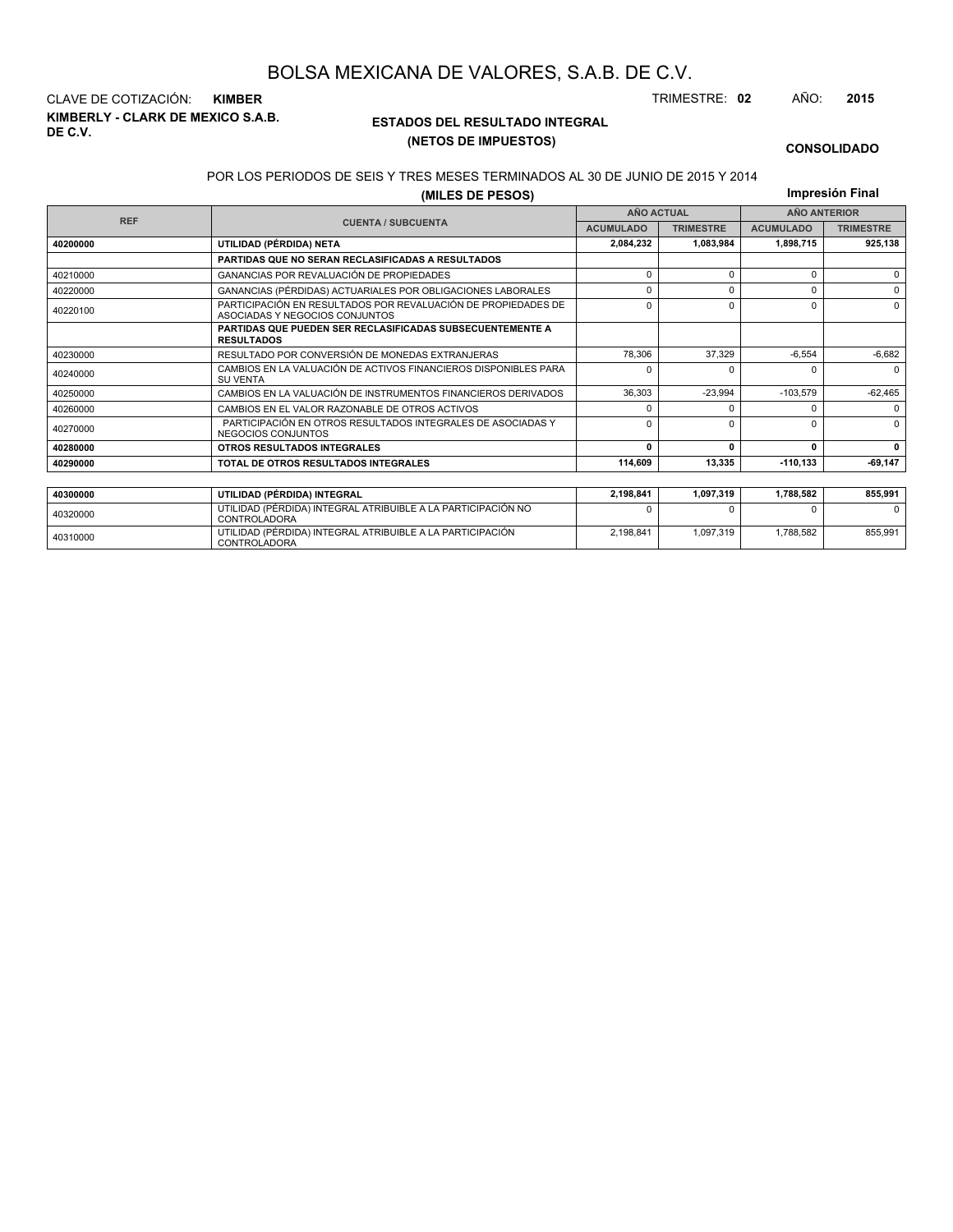**KIMBERLY - CLARK DE MEXICO S.A.B. DE C.V.** CLAVE DE COTIZACIÓN: **KIMBER** TRIMESTRE: **02** AÑO: **2015**

<sup>40310000</sup> UTILIDAD (PÉRDIDA) INTEGRAL ATRIBUIBLE A LA PARTICIPACIÓN CONTROLADORA

### **ESTADOS DEL RESULTADO INTEGRAL (NETOS DE IMPUESTOS)**

2,198,841 1,097,319 1,788,582 855,991

### **CONSOLIDADO**

#### POR LOS PERIODOS DE SEIS Y TRES MESES TERMINADOS AL 30 DE JUNIO DE 2015 Y 2014

**(MILES DE PESOS)**

**Impresión Final**

|            | ושטט די ביט אוויון                                                                              |                   |                  |                  |                     |
|------------|-------------------------------------------------------------------------------------------------|-------------------|------------------|------------------|---------------------|
|            |                                                                                                 | <b>AÑO ACTUAL</b> |                  |                  | <b>AÑO ANTERIOR</b> |
| <b>REF</b> | <b>CUENTA / SUBCUENTA</b>                                                                       | <b>ACUMULADO</b>  | <b>TRIMESTRE</b> | <b>ACUMULADO</b> | <b>TRIMESTRE</b>    |
| 40200000   | UTILIDAD (PÉRDIDA) NETA                                                                         | 2,084,232         | 1.083.984        | 1,898,715        | 925,138             |
|            | <b>PARTIDAS QUE NO SERAN RECLASIFICADAS A RESULTADOS</b>                                        |                   |                  |                  |                     |
| 40210000   | GANANCIAS POR REVALUACIÓN DE PROPIEDADES                                                        | 0                 | $\Omega$         | $\Omega$         | $\Omega$            |
| 40220000   | GANANCIAS (PÉRDIDAS) ACTUARIALES POR OBLIGACIONES LABORALES                                     | $\Omega$          | $\Omega$         | $\Omega$         | $\Omega$            |
| 40220100   | PARTICIPACIÓN EN RESULTADOS POR REVALUACIÓN DE PROPIEDADES DE<br>ASOCIADAS Y NEGOCIOS CONJUNTOS | $\Omega$          | $\Omega$         | $\Omega$         | $\Omega$            |
|            | <b>PARTIDAS QUE PUEDEN SER RECLASIFICADAS SUBSECUENTEMENTE A</b><br><b>RESULTADOS</b>           |                   |                  |                  |                     |
| 40230000   | RESULTADO POR CONVERSIÓN DE MONEDAS EXTRANJERAS                                                 | 78.306            | 37.329           | $-6,554$         | $-6,682$            |
| 40240000   | CAMBIOS EN LA VALUACIÓN DE ACTIVOS FINANCIEROS DISPONIBLES PARA<br><b>SU VENTA</b>              | <sup>0</sup>      |                  | <sup>0</sup>     | $\Omega$            |
| 40250000   | CAMBIOS EN LA VALUACIÓN DE INSTRUMENTOS FINANCIEROS DERIVADOS                                   | 36.303            | $-23.994$        | $-103.579$       | $-62,465$           |
| 40260000   | CAMBIOS EN EL VALOR RAZONABLE DE OTROS ACTIVOS                                                  | <sup>0</sup>      |                  | 0                | $\Omega$            |
| 40270000   | PARTICIPACIÓN EN OTROS RESULTADOS INTEGRALES DE ASOCIADAS Y<br>NEGOCIOS CONJUNTOS               | 0                 | $\Omega$         | $\Omega$         | $\Omega$            |
| 40280000   | OTROS RESULTADOS INTEGRALES                                                                     | $\Omega$          | n                | 0                | $\mathbf{0}$        |
| 40290000   | TOTAL DE OTROS RESULTADOS INTEGRALES                                                            | 114.609           | 13.335           | $-110.133$       | $-69,147$           |
|            |                                                                                                 |                   |                  |                  |                     |
| 40300000   | UTILIDAD (PÉRDIDA) INTEGRAL                                                                     | 2,198,841         | 1,097,319        | 1,788,582        | 855,991             |
| 40320000   | UTILIDAD (PÉRDIDA) INTEGRAL ATRIBUIBLE A LA PARTICIPACIÓN NO<br><b>CONTROLADORA</b>             |                   |                  | <sup>0</sup>     | <sup>0</sup>        |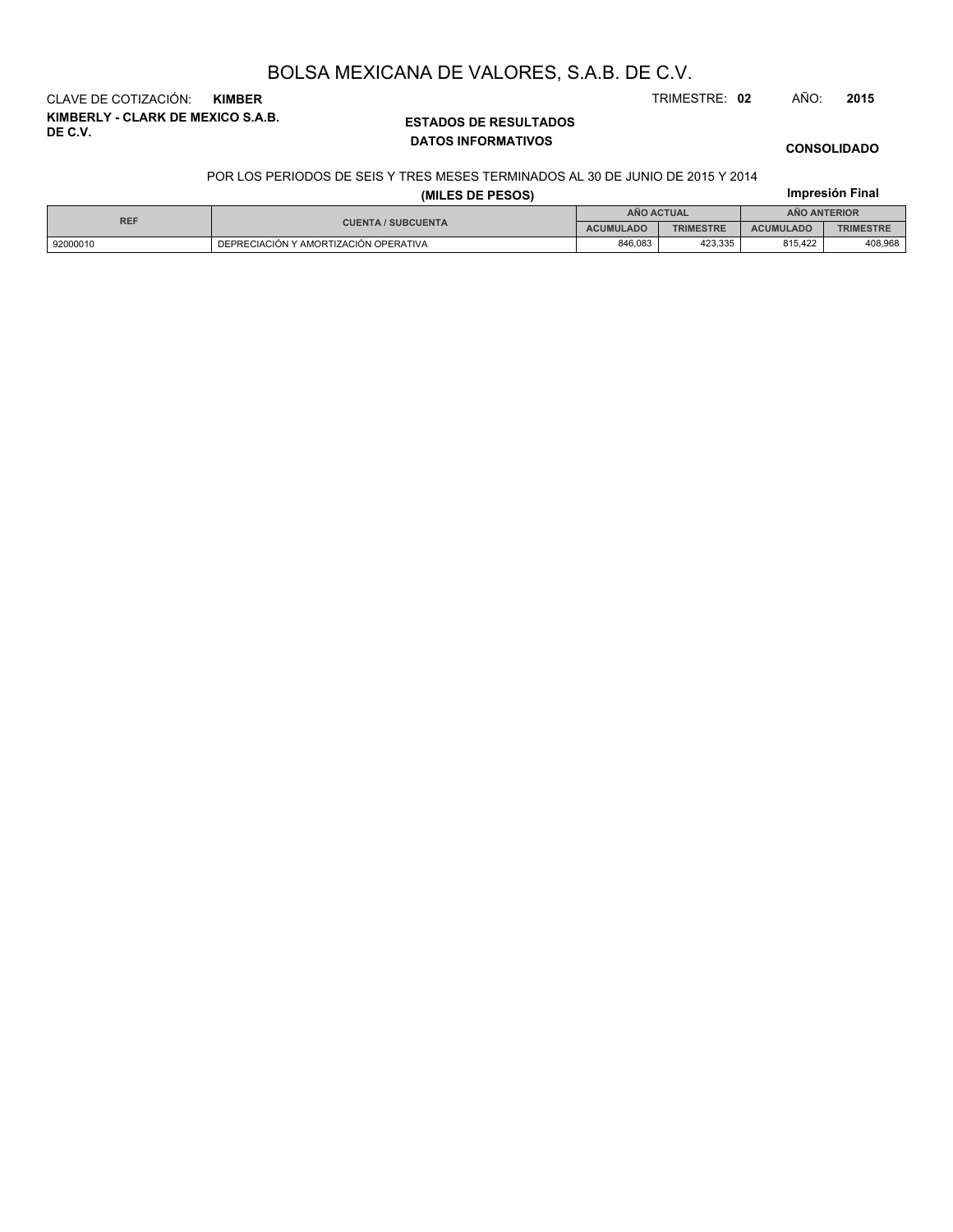**KIMBERLY - CLARK DE MEXICO S.A.B. DE C.V.** CLAVE DE COTIZACIÓN: **KIMBER** TRIMESTRE: **02** AÑO: **2015**

### **ESTADOS DE RESULTADOS DATOS INFORMATIVOS**

### **CONSOLIDADO**

**Impresión Final**

#### POR LOS PERIODOS DE SEIS Y TRES MESES TERMINADOS AL 30 DE JUNIO DE 2015 Y 2014

### **(MILES DE PESOS)**

| <b>REF</b> |                                       |                  | <b>AÑO ACTUAL</b> | <b>ANO ANTERIOR</b> |                  |  |
|------------|---------------------------------------|------------------|-------------------|---------------------|------------------|--|
|            | <b>CUENTA / SUBCUENTA</b>             | <b>ACUMULADO</b> | <b>TRIMESTRE</b>  | <b>ACUMULADO</b>    | <b>TRIMESTRE</b> |  |
| 92000010   | DEPRECIACIÓN Y AMORTIZACIÓN OPERATIVA | 846.083          | 423.335           | 815.422             | 408,968          |  |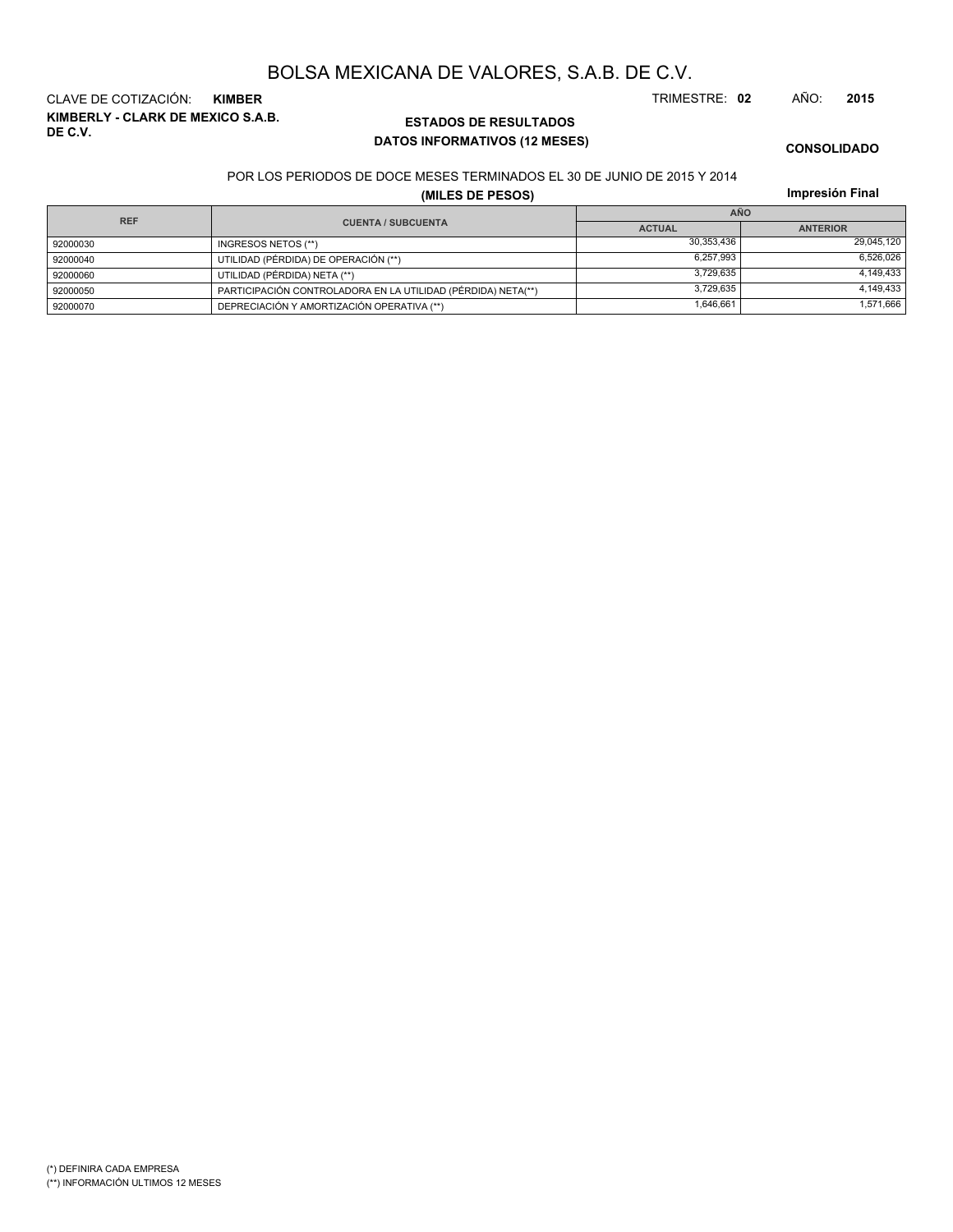**KIMBERLY - CLARK DE MEXICO S.A.B. DE C.V.** CLAVE DE COTIZACIÓN: **KIMBER** TRIMESTRE: **02** AÑO: **2015**

### **ESTADOS DE RESULTADOS DATOS INFORMATIVOS (12 MESES)**

**CONSOLIDADO**

### POR LOS PERIODOS DE DOCE MESES TERMINADOS EL 30 DE JUNIO DE 2015 Y 2014

**(MILES DE PESOS)**

**Impresión Final**

| <b>REF</b> |                                                              | <b>AÑO</b>    |                 |  |  |  |
|------------|--------------------------------------------------------------|---------------|-----------------|--|--|--|
|            | <b>CUENTA / SUBCUENTA</b>                                    | <b>ACTUAL</b> | <b>ANTERIOR</b> |  |  |  |
| 92000030   | INGRESOS NETOS (**)                                          | 30.353.436    | 29,045,120      |  |  |  |
| 92000040   | UTILIDAD (PÉRDIDA) DE OPERACIÓN (**)                         | 6.257.993     | 6,526,026       |  |  |  |
| 92000060   | UTILIDAD (PÉRDIDA) NETA (**)                                 | 3.729.635     | 4,149,433       |  |  |  |
| 92000050   | PARTICIPACIÓN CONTROLADORA EN LA UTILIDAD (PÉRDIDA) NETA(**) | 3.729.635     | 4,149,433       |  |  |  |
| 92000070   | DEPRECIACIÓN Y AMORTIZACIÓN OPERATIVA (**)                   | 1,646,661     | 1,571,666       |  |  |  |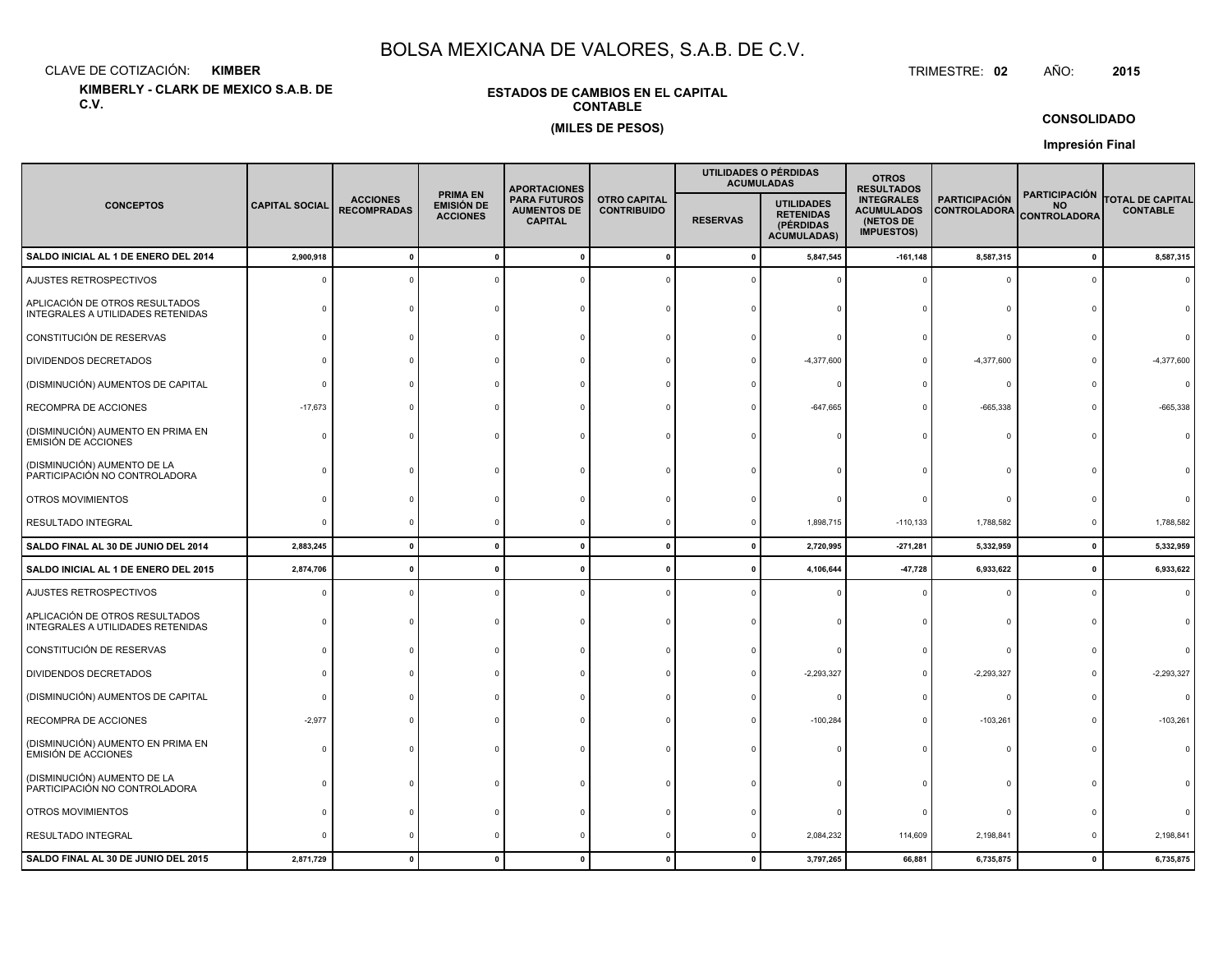CLAVE DE COTIZACIÓN:**KIMBER**: KIMBER TRIMESTRE:

**KIMBERLY - CLARK DE MEXICO S.A.B. DE C.V.**

### **ESTADOS DE CAMBIOS EN EL CAPITALCONTABLE(MILES DE PESOS)**

TRIMESTRE: 02 AÑO: **<sup>2015</sup>**

**CONSOLIDADO**

**Impresión Final**

|                                                                     |                       |                                       |                                                         | <b>APORTACIONES</b>                                         |                                           |              | UTILIDADES O PÉRDIDAS<br><b>ACUMULADAS</b>                               | <b>OTROS</b><br><b>RESULTADOS</b>                                        |                                             |                                                          |                                            |
|---------------------------------------------------------------------|-----------------------|---------------------------------------|---------------------------------------------------------|-------------------------------------------------------------|-------------------------------------------|--------------|--------------------------------------------------------------------------|--------------------------------------------------------------------------|---------------------------------------------|----------------------------------------------------------|--------------------------------------------|
| <b>CONCEPTOS</b>                                                    | <b>CAPITAL SOCIAL</b> | <b>ACCIONES</b><br><b>RECOMPRADAS</b> | <b>PRIMA EN</b><br><b>EMISIÓN DE</b><br><b>ACCIONES</b> | <b>PARA FUTUROS</b><br><b>AUMENTOS DE</b><br><b>CAPITAL</b> | <b>OTRO CAPITAL</b><br><b>CONTRIBUIDO</b> |              | <b>UTILIDADES</b><br><b>RETENIDAS</b><br>(PÉRDIDAS<br><b>ACUMULADAS)</b> | <b>INTEGRALES</b><br><b>ACUMULADOS</b><br>(NETOS DE<br><b>IMPUESTOS)</b> | <b>PARTICIPACIÓN</b><br><b>CONTROLADORA</b> | <b>PARTICIPACIÓN</b><br><b>NO</b><br><b>CONTROLADORA</b> | <b>TOTAL DE CAPITAL</b><br><b>CONTABLE</b> |
| SALDO INICIAL AL 1 DE ENERO DEL 2014                                | 2,900,918             | $\Omega$                              | $\mathbf{0}$                                            |                                                             | $\Omega$                                  | - 0          | 5,847,545                                                                | $-161, 148$                                                              | 8,587,315                                   | $\mathbf{0}$                                             | 8,587,315                                  |
| AJUSTES RETROSPECTIVOS                                              | $\Omega$              |                                       |                                                         |                                                             |                                           |              |                                                                          |                                                                          | $\Omega$                                    | $\Omega$                                                 | $\Omega$                                   |
| APLICACIÓN DE OTROS RESULTADOS<br>INTEGRALES A UTILIDADES RETENIDAS |                       |                                       |                                                         |                                                             |                                           |              |                                                                          |                                                                          | $\Omega$                                    |                                                          |                                            |
| CONSTITUCIÓN DE RESERVAS                                            |                       |                                       |                                                         |                                                             |                                           |              |                                                                          |                                                                          | $\Omega$                                    |                                                          |                                            |
| <b>DIVIDENDOS DECRETADOS</b>                                        |                       |                                       |                                                         |                                                             |                                           |              | $-4,377,600$                                                             |                                                                          | $-4,377,600$                                |                                                          | $-4,377,600$                               |
| (DISMINUCIÓN) AUMENTOS DE CAPITAL                                   |                       |                                       |                                                         |                                                             |                                           |              |                                                                          |                                                                          | $\mathbf 0$                                 |                                                          | $\Omega$                                   |
| RECOMPRA DE ACCIONES                                                | $-17,673$             |                                       |                                                         |                                                             |                                           |              | $-647,665$                                                               |                                                                          | $-665,338$                                  | $\Omega$                                                 | $-665,338$                                 |
| (DISMINUCIÓN) AUMENTO EN PRIMA EN<br><b>EMISIÓN DE ACCIONES</b>     |                       |                                       |                                                         |                                                             |                                           |              |                                                                          |                                                                          | $\Omega$                                    | $\Omega$                                                 |                                            |
| (DISMINUCIÓN) AUMENTO DE LA<br>PARTICIPACIÓN NO CONTROLADORA        |                       |                                       |                                                         |                                                             |                                           |              |                                                                          |                                                                          |                                             |                                                          |                                            |
| OTROS MOVIMIENTOS                                                   |                       |                                       |                                                         |                                                             |                                           |              |                                                                          |                                                                          | $\Omega$                                    |                                                          |                                            |
| RESULTADO INTEGRAL                                                  |                       |                                       |                                                         |                                                             |                                           |              | 1,898,715                                                                | $-110, 133$                                                              | 1,788,582                                   | 0                                                        | 1,788,582                                  |
| SALDO FINAL AL 30 DE JUNIO DEL 2014                                 | 2,883,245             | $\mathbf 0$                           | $\mathbf{0}$                                            |                                                             | $\mathbf{0}$                              | $\mathbf{0}$ | 2,720,995                                                                | $-271,281$                                                               | 5,332,959                                   | $\mathbf{0}$                                             | 5,332,959                                  |
| SALDO INICIAL AL 1 DE ENERO DEL 2015                                | 2,874,706             | $\mathbf 0$                           | $\mathbf{0}$                                            |                                                             |                                           |              | 4,106,644                                                                | $-47,728$                                                                | 6,933,622                                   | 0                                                        | 6,933,622                                  |
| AJUSTES RETROSPECTIVOS                                              |                       |                                       |                                                         |                                                             |                                           |              |                                                                          |                                                                          | $\Omega$                                    | $\Omega$                                                 | $\Omega$                                   |
| APLICACIÓN DE OTROS RESULTADOS<br>INTEGRALES A UTILIDADES RETENIDAS |                       |                                       |                                                         |                                                             |                                           |              |                                                                          |                                                                          | 0                                           |                                                          |                                            |
| CONSTITUCIÓN DE RESERVAS                                            |                       |                                       |                                                         |                                                             |                                           |              |                                                                          |                                                                          | $\Omega$                                    |                                                          |                                            |
| <b>DIVIDENDOS DECRETADOS</b>                                        |                       |                                       |                                                         |                                                             |                                           |              | $-2,293,327$                                                             |                                                                          | $-2,293,327$                                | $\Omega$                                                 | $-2,293,327$                               |
| (DISMINUCIÓN) AUMENTOS DE CAPITAL                                   |                       |                                       |                                                         |                                                             |                                           |              |                                                                          |                                                                          | 0                                           |                                                          |                                            |
| RECOMPRA DE ACCIONES                                                | $-2,977$              |                                       |                                                         |                                                             |                                           |              | $-100,284$                                                               |                                                                          | $-103,261$                                  |                                                          | $-103,261$                                 |
| (DISMINUCIÓN) AUMENTO EN PRIMA EN<br><b>EMISIÓN DE ACCIONES</b>     |                       |                                       |                                                         |                                                             |                                           |              |                                                                          |                                                                          | $\Omega$                                    |                                                          |                                            |
| (DISMINUCIÓN) AUMENTO DE LA<br>PARTICIPACIÓN NO CONTROLADORA        |                       |                                       |                                                         |                                                             |                                           |              |                                                                          |                                                                          | $\Omega$                                    |                                                          |                                            |
| OTROS MOVIMIENTOS                                                   |                       |                                       |                                                         |                                                             |                                           |              |                                                                          |                                                                          | $\mathbf 0$                                 |                                                          |                                            |
| RESULTADO INTEGRAL                                                  |                       |                                       |                                                         |                                                             |                                           |              | 2,084,232                                                                | 114,609                                                                  | 2,198,841                                   | 0                                                        | 2,198,841                                  |
| SALDO FINAL AL 30 DE JUNIO DEL 2015                                 | 2,871,729             | $\mathbf{0}$                          |                                                         |                                                             |                                           |              | 3,797,265                                                                | 66,881                                                                   | 6,735,875                                   | $\mathbf{0}$                                             | 6,735,875                                  |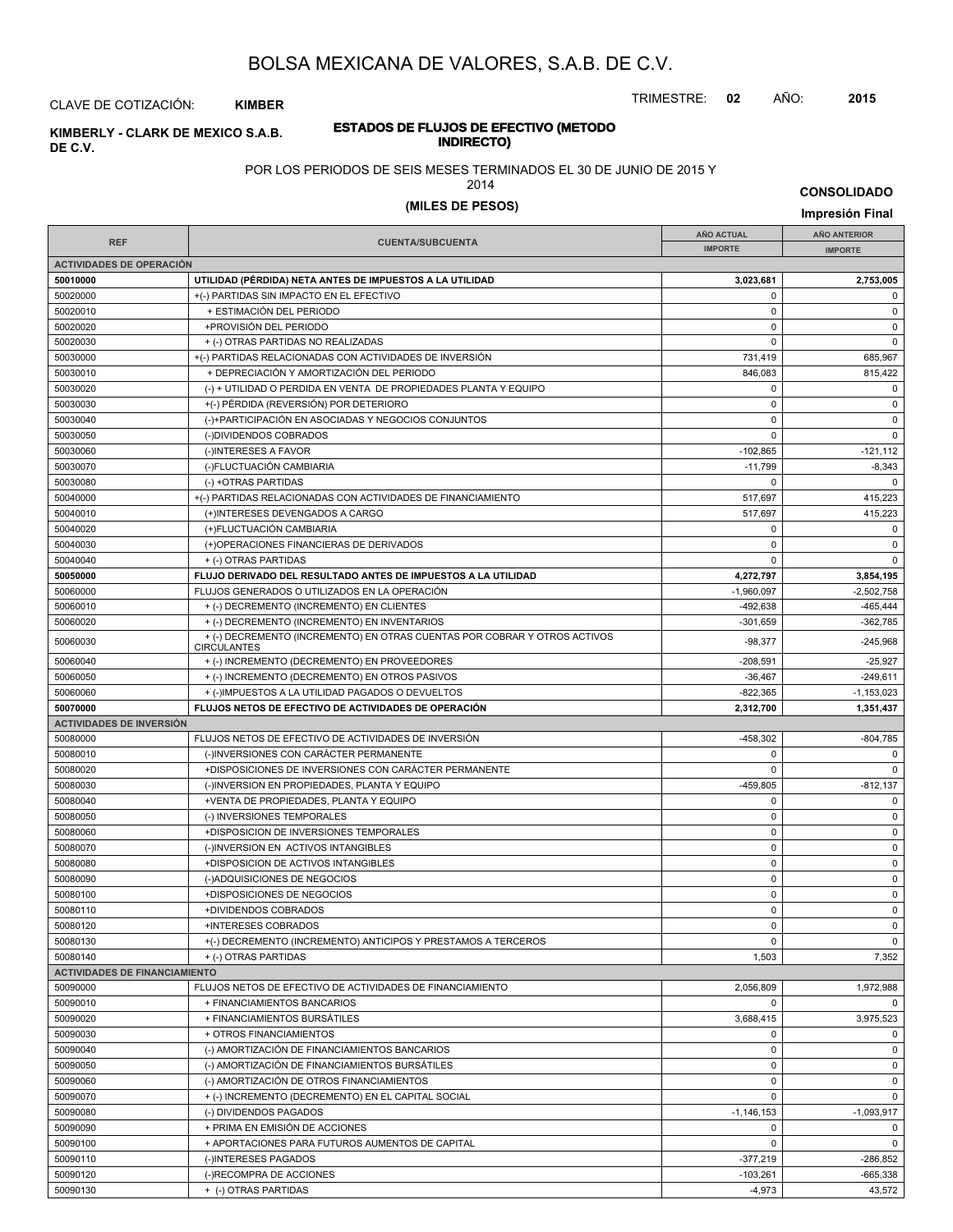TRIMESTRE: **02** AÑO: **2015**

### CLAVE DE COTIZACIÓN: **KIMBER**

#### **INDIRECTO) KIMBERLY - CLARK DE MEXICO S.A.B. DE C.V.**

# POR LOS PERIODOS DE SEIS MESES TERMINADOS EL 30 DE JUNIO DE 2015 Y

**ESTADOS DE FLUJOS DE EFECTIVO (METODO**

2014

# **(MILES DE PESOS) Impresión Final**

|                                      |                                                                                                 | <b>AÑO ACTUAL</b> | AÑO ANTERIOR   |
|--------------------------------------|-------------------------------------------------------------------------------------------------|-------------------|----------------|
| <b>REF</b>                           | <b>CUENTA/SUBCUENTA</b>                                                                         | <b>IMPORTE</b>    | <b>IMPORTE</b> |
| <b>ACTIVIDADES DE OPERACIÓN</b>      |                                                                                                 |                   |                |
| 50010000                             | UTILIDAD (PÉRDIDA) NETA ANTES DE IMPUESTOS A LA UTILIDAD                                        | 3,023,681         | 2,753,005      |
| 50020000                             | +(-) PARTIDAS SIN IMPACTO EN EL EFECTIVO                                                        | $\mathbf 0$       | $\mathbf 0$    |
| 50020010                             | + ESTIMACIÓN DEL PERIODO                                                                        | $\mathbf 0$       | $\mathsf 0$    |
| 50020020                             | +PROVISIÓN DEL PERIODO                                                                          | $\pmb{0}$         | $\pmb{0}$      |
| 50020030                             | + (-) OTRAS PARTIDAS NO REALIZADAS                                                              | $\mathbf 0$       | $\mathbf 0$    |
| 50030000                             | +(-) PARTIDAS RELACIONADAS CON ACTIVIDADES DE INVERSIÓN                                         | 731,419           | 685,967        |
| 50030010                             | + DEPRECIACIÓN Y AMORTIZACIÓN DEL PERIODO                                                       | 846,083           | 815,422        |
| 50030020                             | (-) + UTILIDAD O PERDIDA EN VENTA DE PROPIEDADES PLANTA Y EQUIPO                                | 0                 | 0              |
| 50030030                             | +(-) PÉRDIDA (REVERSIÓN) POR DETERIORO                                                          | $\pmb{0}$         | $\pmb{0}$      |
| 50030040                             | (-)+PARTICIPACIÓN EN ASOCIADAS Y NEGOCIOS CONJUNTOS                                             | $\pmb{0}$         | $\pmb{0}$      |
| 50030050                             | (-)DIVIDENDOS COBRADOS                                                                          | $\mathbf 0$       | $\mathbf 0$    |
| 50030060                             | (-)INTERESES A FAVOR                                                                            | $-102,865$        | $-121,112$     |
| 50030070                             | (-)FLUCTUACIÓN CAMBIARIA                                                                        | $-11,799$         | $-8,343$       |
| 50030080                             | (-) +OTRAS PARTIDAS                                                                             | 0                 | $\Omega$       |
| 50040000                             | +(-) PARTIDAS RELACIONADAS CON ACTIVIDADES DE FINANCIAMIENTO                                    | 517,697           | 415,223        |
| 50040010                             | (+)INTERESES DEVENGADOS A CARGO                                                                 | 517,697           | 415,223        |
| 50040020                             | (+)FLUCTUACIÓN CAMBIARIA                                                                        | $\mathbf 0$       | 0              |
| 50040030                             | (+)OPERACIONES FINANCIERAS DE DERIVADOS                                                         | $\pmb{0}$         | $\pmb{0}$      |
| 50040040                             | + (-) OTRAS PARTIDAS                                                                            | $\Omega$          | $\pmb{0}$      |
| 50050000                             | FLUJO DERIVADO DEL RESULTADO ANTES DE IMPUESTOS A LA UTILIDAD                                   | 4,272,797         | 3,854,195      |
| 50060000                             | FLUJOS GENERADOS O UTILIZADOS EN LA OPERACIÓN                                                   | $-1,960,097$      | $-2,502,758$   |
| 50060010                             | + (-) DECREMENTO (INCREMENTO) EN CLIENTES                                                       | $-492,638$        | $-465, 444$    |
| 50060020                             | + (-) DECREMENTO (INCREMENTO) EN INVENTARIOS                                                    | $-301,659$        | $-362,785$     |
| 50060030                             | + (-) DECREMENTO (INCREMENTO) EN OTRAS CUENTAS POR COBRAR Y OTROS ACTIVOS<br><b>CIRCULANTES</b> | $-98,377$         | $-245,968$     |
| 50060040                             | + (-) INCREMENTO (DECREMENTO) EN PROVEEDORES                                                    | $-208,591$        | $-25,927$      |
| 50060050                             | + (-) INCREMENTO (DECREMENTO) EN OTROS PASIVOS                                                  | $-36,467$         | $-249,611$     |
| 50060060                             | + (-)IMPUESTOS A LA UTILIDAD PAGADOS O DEVUELTOS                                                | $-822,365$        | $-1,153,023$   |
| 50070000                             | FLUJOS NETOS DE EFECTIVO DE ACTIVIDADES DE OPERACIÓN                                            | 2,312,700         | 1,351,437      |
| <b>ACTIVIDADES DE INVERSIÓN</b>      |                                                                                                 |                   |                |
| 50080000                             | FLUJOS NETOS DE EFECTIVO DE ACTIVIDADES DE INVERSIÓN                                            | -458,302          | $-804,785$     |
| 50080010                             | (-)INVERSIONES CON CARÁCTER PERMANENTE                                                          | $\pmb{0}$         | $\mathbf 0$    |
| 50080020                             | +DISPOSICIONES DE INVERSIONES CON CARÁCTER PERMANENTE                                           | $\mathbf 0$       | $\mathbf 0$    |
| 50080030                             | (-)INVERSION EN PROPIEDADES, PLANTA Y EQUIPO                                                    | $-459,805$        | $-812,137$     |
| 50080040                             | +VENTA DE PROPIEDADES, PLANTA Y EQUIPO                                                          | $\pmb{0}$         | 0              |
| 50080050                             | (-) INVERSIONES TEMPORALES                                                                      | $\pmb{0}$         | 0              |
| 50080060                             | +DISPOSICION DE INVERSIONES TEMPORALES                                                          | $\mathbf 0$       | $\pmb{0}$      |
| 50080070                             | (-)INVERSION EN ACTIVOS INTANGIBLES                                                             | $\pmb{0}$         | $\mathsf 0$    |
| 50080080                             | +DISPOSICION DE ACTIVOS INTANGIBLES                                                             | $\pmb{0}$         | 0              |
| 50080090                             | (-)ADQUISICIONES DE NEGOCIOS                                                                    | $\mathbf 0$       | $\mathsf 0$    |
| 50080100                             | +DISPOSICIONES DE NEGOCIOS                                                                      | $\pmb{0}$         | $\pmb{0}$      |
| 50080110                             | +DIVIDENDOS COBRADOS                                                                            | 0                 | $\mathbf 0$    |
| 50080120                             | +INTERESES COBRADOS                                                                             | 0                 | 0              |
| 50080130                             | +(-) DECREMENTO (INCREMENTO) ANTICIPOS Y PRESTAMOS A TERCEROS                                   | $\mathbf 0$       | $\mathbf 0$    |
| 50080140                             | + (-) OTRAS PARTIDAS                                                                            | 1,503             | 7,352          |
| <b>ACTIVIDADES DE FINANCIAMIENTO</b> |                                                                                                 |                   |                |
| 50090000                             | FLUJOS NETOS DE EFECTIVO DE ACTIVIDADES DE FINANCIAMIENTO                                       | 2,056,809         | 1,972,988      |
| 50090010                             | + FINANCIAMIENTOS BANCARIOS                                                                     | 0                 | $\mathbf{0}$   |
| 50090020                             | + FINANCIAMIENTOS BURSÁTILES                                                                    | 3,688,415         | 3,975,523      |
| 50090030                             | + OTROS FINANCIAMIENTOS                                                                         | $\pmb{0}$         | $\mathbf 0$    |
| 50090040                             | (-) AMORTIZACIÓN DE FINANCIAMIENTOS BANCARIOS                                                   | $\pmb{0}$         | 0              |
| 50090050                             | (-) AMORTIZACIÓN DE FINANCIAMIENTOS BURSÁTILES                                                  | $\mathbf 0$       | 0              |
| 50090060                             | (-) AMORTIZACIÓN DE OTROS FINANCIAMIENTOS                                                       | $\pmb{0}$         | $\mathbf 0$    |
| 50090070                             | + (-) INCREMENTO (DECREMENTO) EN EL CAPITAL SOCIAL                                              | $\pmb{0}$         | 0              |
| 50090080                             | (-) DIVIDENDOS PAGADOS                                                                          | $-1, 146, 153$    | $-1,093,917$   |
| 50090090                             | + PRIMA EN EMISIÓN DE ACCIONES                                                                  | $\pmb{0}$         | $\mathbf 0$    |
| 50090100                             | + APORTACIONES PARA FUTUROS AUMENTOS DE CAPITAL                                                 | $\mathbf 0$       | 0              |
| 50090110                             | (-)INTERESES PAGADOS                                                                            | $-377,219$        | -286,852       |
| 50090120                             | (-)RECOMPRA DE ACCIONES                                                                         | $-103,261$        | $-665,338$     |
| 50090130                             | + (-) OTRAS PARTIDAS                                                                            | $-4,973$          | 43,572         |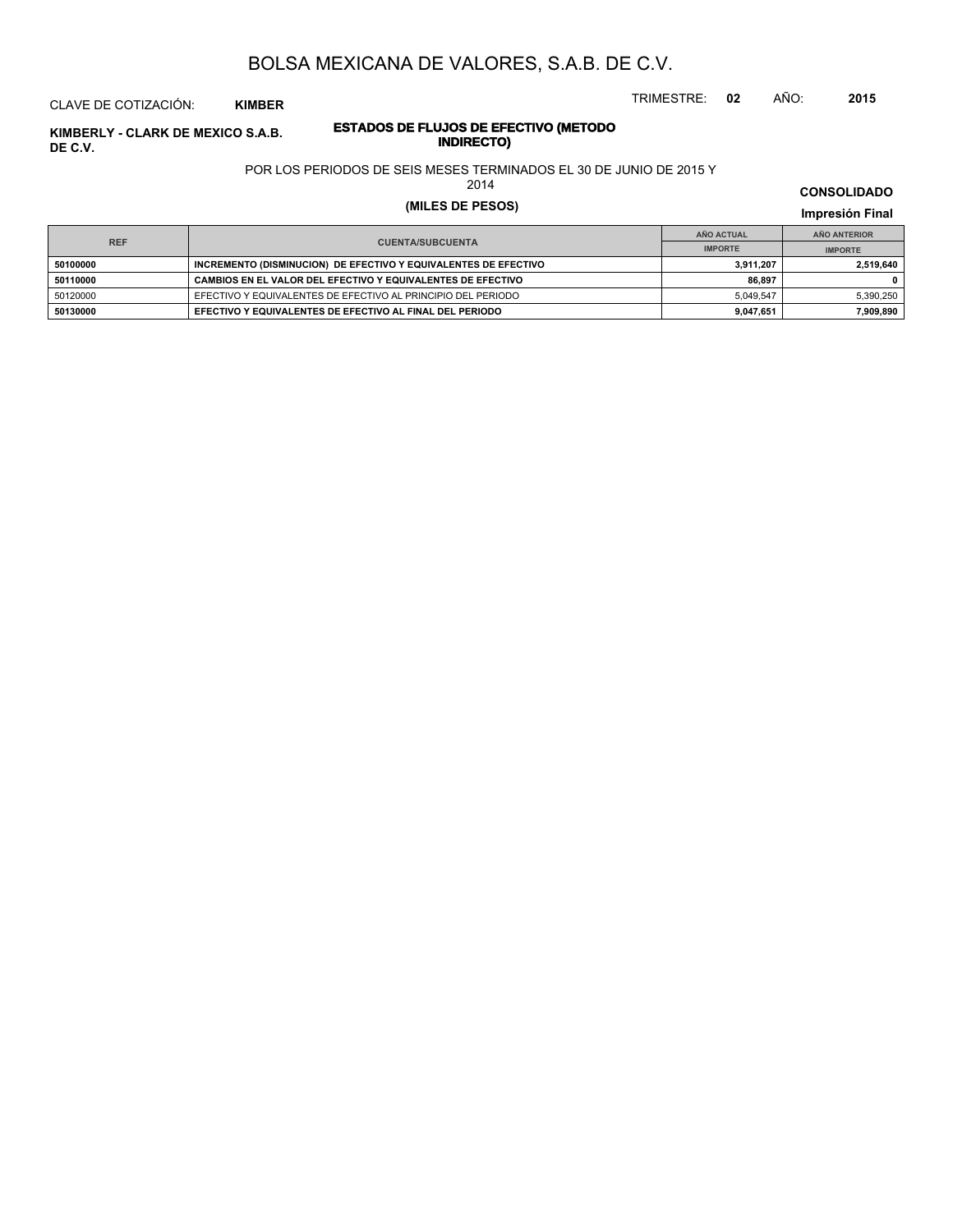TRIMESTRE: **02** AÑO: **2015**

### CLAVE DE COTIZACIÓN: **KIMBER**

### **ESTADOS DE FLUJOS DE EFECTIVO (METODO INDIRECTO) KIMBERLY - CLARK DE MEXICO S.A.B. DE C.V.**

### POR LOS PERIODOS DE SEIS MESES TERMINADOS EL 30 DE JUNIO DE 2015 Y

2014

# **(MILES DE PESOS) Impresión Final**

|            |                                                                 | AÑO ACTUAL     | AÑO ANTERIOR   |  |
|------------|-----------------------------------------------------------------|----------------|----------------|--|
| <b>REF</b> | <b>CUENTA/SUBCUENTA</b>                                         | <b>IMPORTE</b> | <b>IMPORTE</b> |  |
| 50100000   | INCREMENTO (DISMINUCION) DE EFECTIVO Y EQUIVALENTES DE EFECTIVO | 3,911,207      | 2,519,640      |  |
| 50110000   | CAMBIOS EN EL VALOR DEL EFECTIVO Y EQUIVALENTES DE EFECTIVO     | 86.897         |                |  |
| 50120000   | EFECTIVO Y EQUIVALENTES DE EFECTIVO AL PRINCIPIO DEL PERIODO    | 5.049.547      | 5,390,250      |  |
| 50130000   | EFECTIVO Y EQUIVALENTES DE EFECTIVO AL FINAL DEL PERIODO        | 9,047,651      | 7,909,890      |  |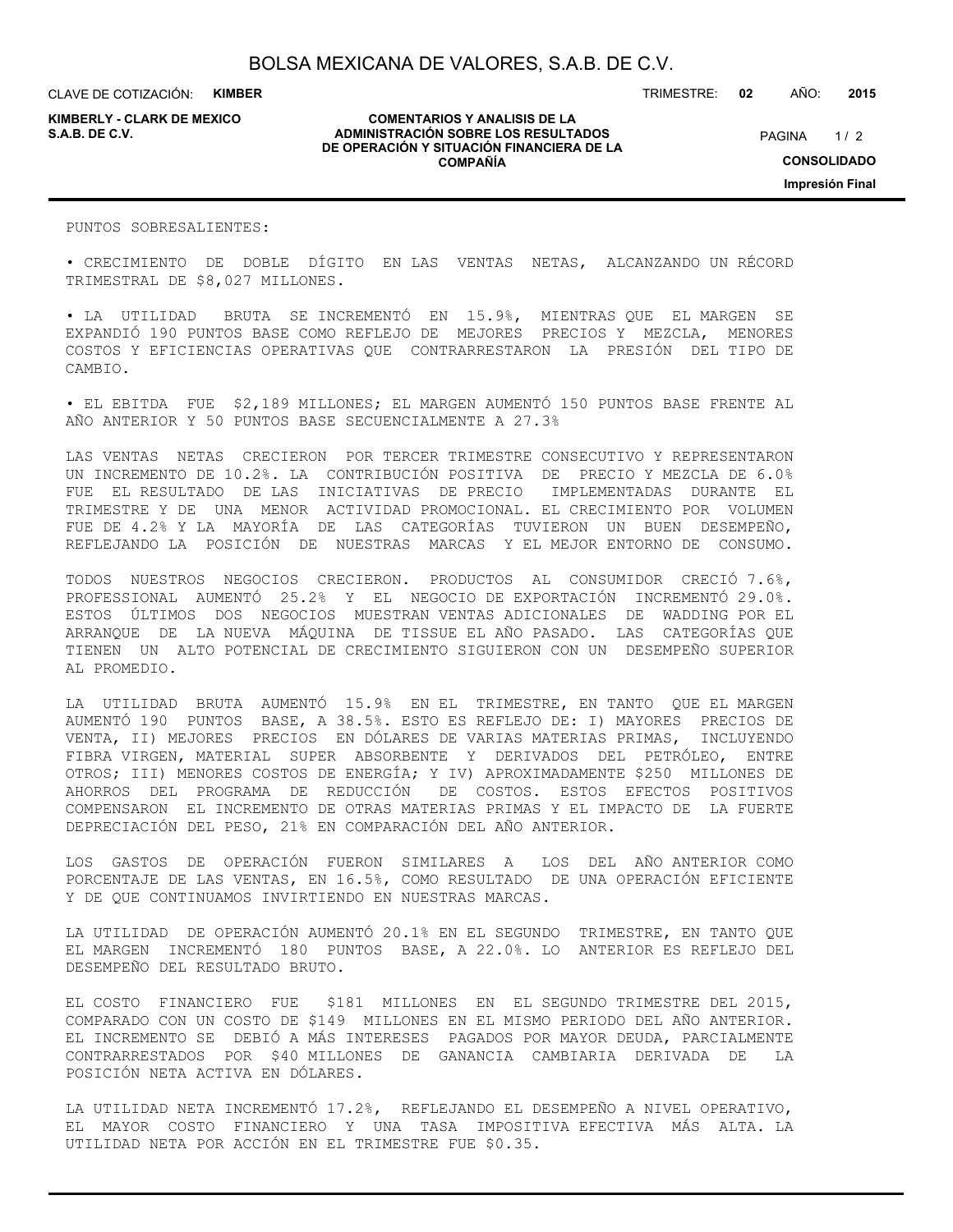**KIMBERLY - CLARK DE MEXICO**

#### **COMENTARIOS Y ANALISIS DE LA ADMINISTRACIÓN SOBRE LOS RESULTADOS S.A.B. DE C.V.** PAGINA / 2 **DE OPERACIÓN Y SITUACIÓN FINANCIERA DE LA COMPAÑÍA**

 $1/2$ **CONSOLIDADO Impresión Final**

PUNTOS SOBRESALIENTES:

• CRECIMIENTO DE DOBLE DÍGITO EN LAS VENTAS NETAS, ALCANZANDO UN RÉCORD TRIMESTRAL DE \$8,027 MILLONES.

• LA UTILIDAD BRUTA SE INCREMENTÓ EN 15.9%, MIENTRAS QUE EL MARGEN SE EXPANDIÓ 190 PUNTOS BASE COMO REFLEJO DE MEJORES PRECIOS Y MEZCLA, MENORES COSTOS Y EFICIENCIAS OPERATIVAS QUE CONTRARRESTARON LA PRESIÓN DEL TIPO DE CAMBIO.

• EL EBITDA FUE \$2,189 MILLONES; EL MARGEN AUMENTÓ 150 PUNTOS BASE FRENTE AL AÑO ANTERIOR Y 50 PUNTOS BASE SECUENCIALMENTE A 27.3%

LAS VENTAS NETAS CRECIERON POR TERCER TRIMESTRE CONSECUTIVO Y REPRESENTARON UN INCREMENTO DE 10.2%. LA CONTRIBUCIÓN POSITIVA DE PRECIO Y MEZCLA DE 6.0% FUE EL RESULTADO DE LAS INICIATIVAS DE PRECIO IMPLEMENTADAS DURANTE EL TRIMESTRE Y DE UNA MENOR ACTIVIDAD PROMOCIONAL. EL CRECIMIENTO POR VOLUMEN FUE DE 4.2% Y LA MAYORÍA DE LAS CATEGORÍAS TUVIERON UN BUEN DESEMPEÑO, REFLEJANDO LA POSICIÓN DE NUESTRAS MARCAS Y EL MEJOR ENTORNO DE CONSUMO.

TODOS NUESTROS NEGOCIOS CRECIERON. PRODUCTOS AL CONSUMIDOR CRECIÓ 7.6%, PROFESSIONAL AUMENTÓ 25.2% Y EL NEGOCIO DE EXPORTACIÓN INCREMENTÓ 29.0%. ESTOS ÚLTIMOS DOS NEGOCIOS MUESTRAN VENTAS ADICIONALES DE WADDING POR EL ARRANQUE DE LA NUEVA MÁQUINA DE TISSUE EL AÑO PASADO. LAS CATEGORÍAS QUE TIENEN UN ALTO POTENCIAL DE CRECIMIENTO SIGUIERON CON UN DESEMPEÑO SUPERIOR AL PROMEDIO.

LA UTILIDAD BRUTA AUMENTÓ 15.9% EN EL TRIMESTRE, EN TANTO QUE EL MARGEN AUMENTÓ 190 PUNTOS BASE, A 38.5%. ESTO ES REFLEJO DE: I) MAYORES PRECIOS DE VENTA, II) MEJORES PRECIOS EN DÓLARES DE VARIAS MATERIAS PRIMAS, INCLUYENDO FIBRA VIRGEN, MATERIAL SUPER ABSORBENTE Y DERIVADOS DEL PETRÓLEO, ENTRE OTROS; III) MENORES COSTOS DE ENERGÍA; Y IV) APROXIMADAMENTE \$250 MILLONES DE AHORROS DEL PROGRAMA DE REDUCCIÓN DE COSTOS. ESTOS EFECTOS POSITIVOS COMPENSARON EL INCREMENTO DE OTRAS MATERIAS PRIMAS Y EL IMPACTO DE LA FUERTE DEPRECIACIÓN DEL PESO, 21% EN COMPARACIÓN DEL AÑO ANTERIOR.

LOS GASTOS DE OPERACIÓN FUERON SIMILARES A LOS DEL AÑO ANTERIOR COMO PORCENTAJE DE LAS VENTAS, EN 16.5%, COMO RESULTADO DE UNA OPERACIÓN EFICIENTE Y DE QUE CONTINUAMOS INVIRTIENDO EN NUESTRAS MARCAS.

LA UTILIDAD DE OPERACIÓN AUMENTÓ 20.1% EN EL SEGUNDO TRIMESTRE, EN TANTO QUE EL MARGEN INCREMENTÓ 180 PUNTOS BASE, A 22.0%. LO ANTERIOR ES REFLEJO DEL DESEMPEÑO DEL RESULTADO BRUTO.

EL COSTO FINANCIERO FUE \$181 MILLONES EN EL SEGUNDO TRIMESTRE DEL 2015, COMPARADO CON UN COSTO DE \$149 MILLONES EN EL MISMO PERIODO DEL AÑO ANTERIOR. EL INCREMENTO SE DEBIÓ A MÁS INTERESES PAGADOS POR MAYOR DEUDA, PARCIALMENTE CONTRARRESTADOS POR \$40 MILLONES DE GANANCIA CAMBIARIA DERIVADA DE LA POSICIÓN NETA ACTIVA EN DÓLARES.

LA UTILIDAD NETA INCREMENTÓ 17.2%, REFLEJANDO EL DESEMPEÑO A NIVEL OPERATIVO, EL MAYOR COSTO FINANCIERO Y UNA TASA IMPOSITIVA EFECTIVA MÁS ALTA. LA UTILIDAD NETA POR ACCIÓN EN EL TRIMESTRE FUE \$0.35.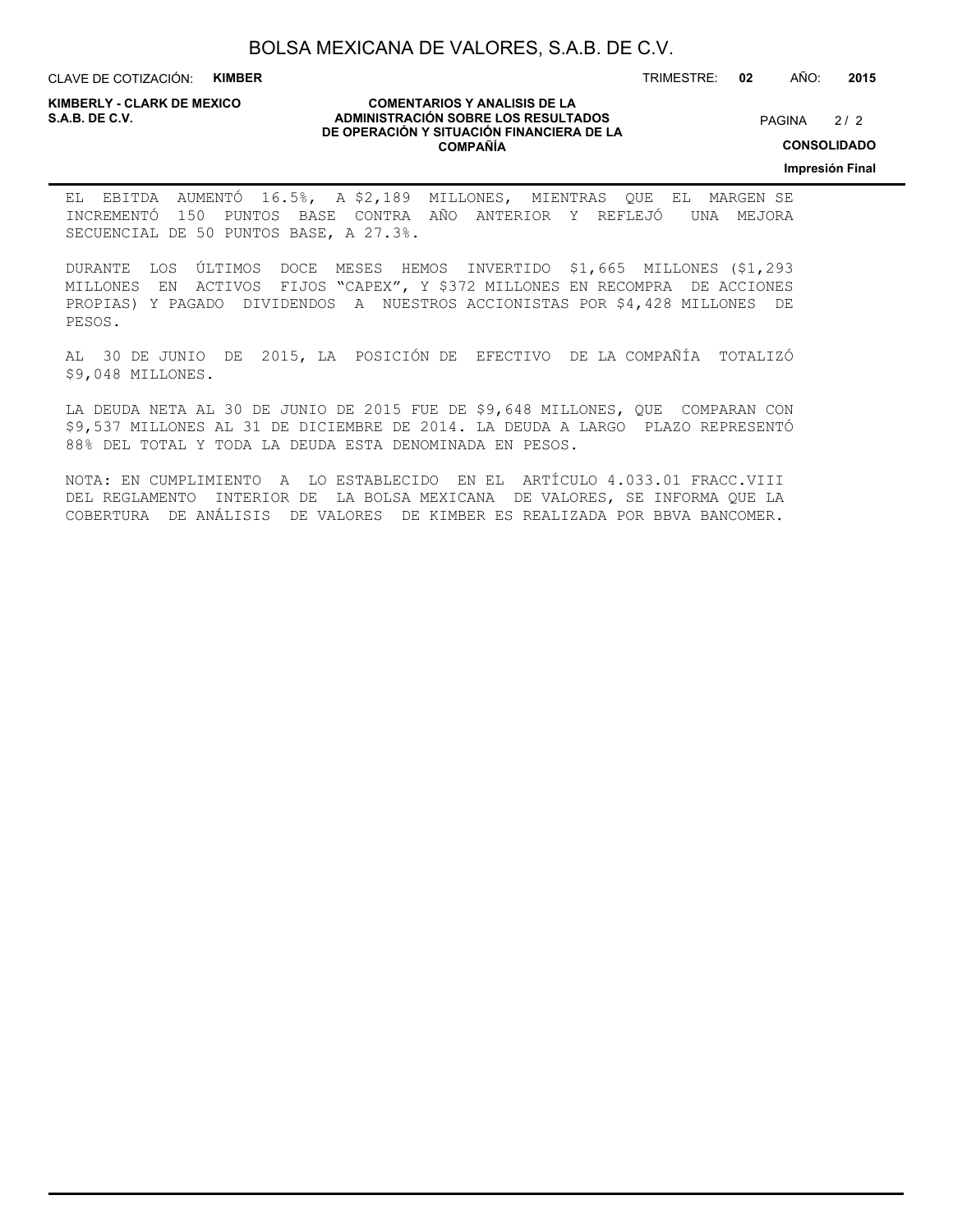CLAVE DE COTIZACIÓN: **KIMBER**

**KIMBERLY - CLARK DE MEXICO**

#### **COMENTARIOS Y ANALISIS DE LA ADMINISTRACIÓN SOBRE LOS RESULTADOS S.A.B. DE C.V.** PAGINA / 2 **DE OPERACIÓN Y SITUACIÓN FINANCIERA DE LA COMPAÑÍA**

 $2/2$ 

**CONSOLIDADO**

**Impresión Final**

EL EBITDA AUMENTÓ 16.5%, A \$2,189 MILLONES, MIENTRAS QUE EL MARGEN SE INCREMENTÓ 150 PUNTOS BASE CONTRA AÑO ANTERIOR Y REFLEJÓ UNA MEJORA SECUENCIAL DE 50 PUNTOS BASE, A 27.3%.

DURANTE LOS ÚLTIMOS DOCE MESES HEMOS INVERTIDO \$1,665 MILLONES (\$1,293 MILLONES EN ACTIVOS FIJOS "CAPEX", Y \$372 MILLONES EN RECOMPRA DE ACCIONES PROPIAS) Y PAGADO DIVIDENDOS A NUESTROS ACCIONISTAS POR \$4,428 MILLONES DE PESOS.

AL 30 DE JUNIO DE 2015, LA POSICIÓN DE EFECTIVO DE LA COMPAÑÍA TOTALIZÓ \$9,048 MILLONES.

LA DEUDA NETA AL 30 DE JUNIO DE 2015 FUE DE \$9,648 MILLONES, QUE COMPARAN CON \$9,537 MILLONES AL 31 DE DICIEMBRE DE 2014. LA DEUDA A LARGO PLAZO REPRESENTÓ 88% DEL TOTAL Y TODA LA DEUDA ESTA DENOMINADA EN PESOS.

NOTA: EN CUMPLIMIENTO A LO ESTABLECIDO EN EL ARTÍCULO 4.033.01 FRACC.VIII DEL REGLAMENTO INTERIOR DE LA BOLSA MEXICANA DE VALORES, SE INFORMA QUE LA COBERTURA DE ANÁLISIS DE VALORES DE KIMBER ES REALIZADA POR BBVA BANCOMER.

TRIMESTRE: **02** AÑO: **2015**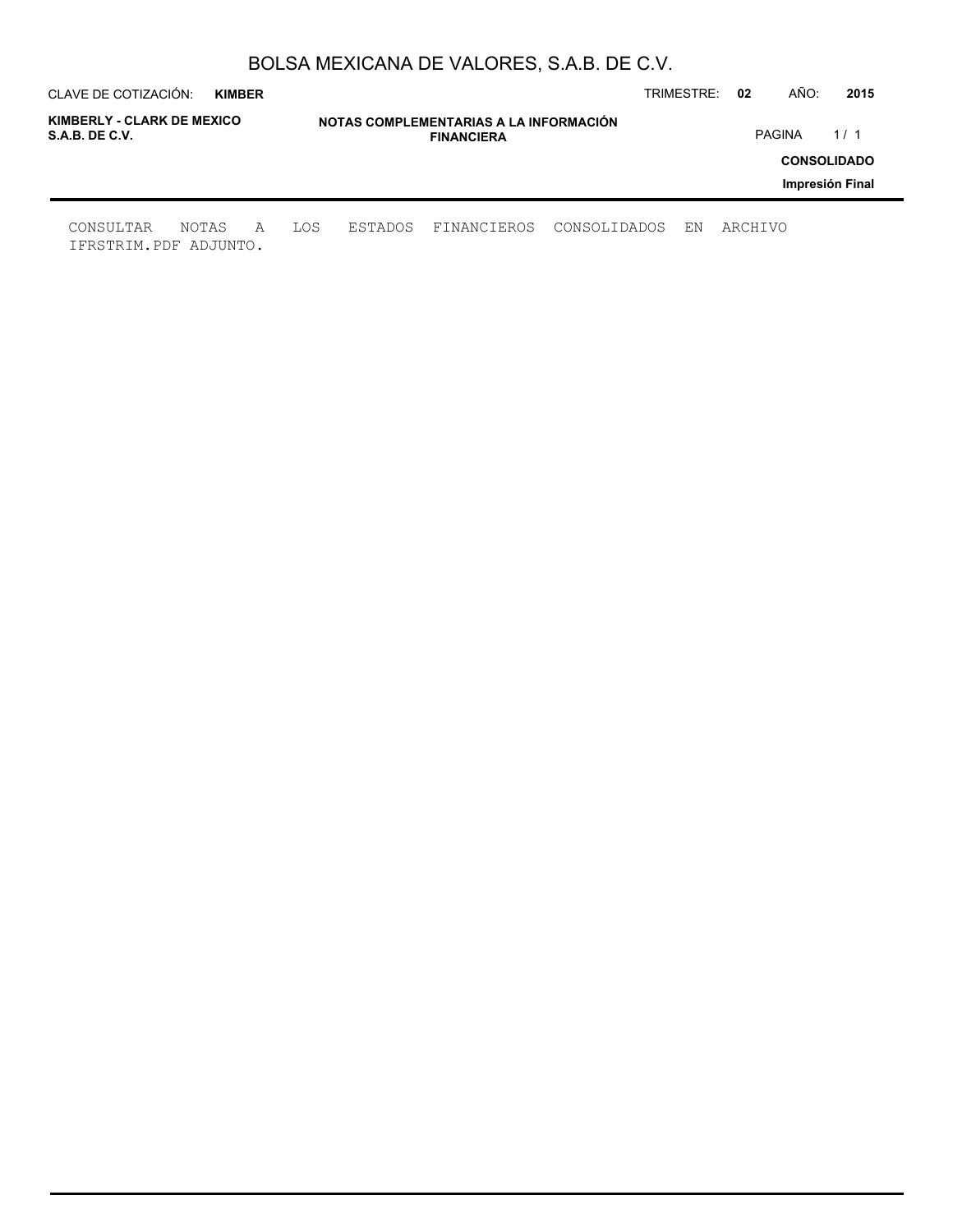| CLAVE DE COTIZACIÓN:                         | <b>KIMBER</b> |   |     |         |                                                             |              | TRIMESTRE: | 02      | AÑO:          | 2015                                  |
|----------------------------------------------|---------------|---|-----|---------|-------------------------------------------------------------|--------------|------------|---------|---------------|---------------------------------------|
| KIMBERLY - CLARK DE MEXICO<br>S.A.B. DE C.V. |               |   |     |         | NOTAS COMPLEMENTARIAS A LA INFORMACIÓN<br><b>FINANCIERA</b> |              |            |         | <b>PAGINA</b> | 1/1                                   |
|                                              |               |   |     |         |                                                             |              |            |         |               | <b>CONSOLIDADO</b><br>Impresión Final |
| CONSULTAR<br>IFRSTRIM.PDF ADJUNTO.           | NOTAS         | A | LOS | ESTADOS | FINANCIEROS                                                 | CONSOLIDADOS | ΕN         | ARCHIVO |               |                                       |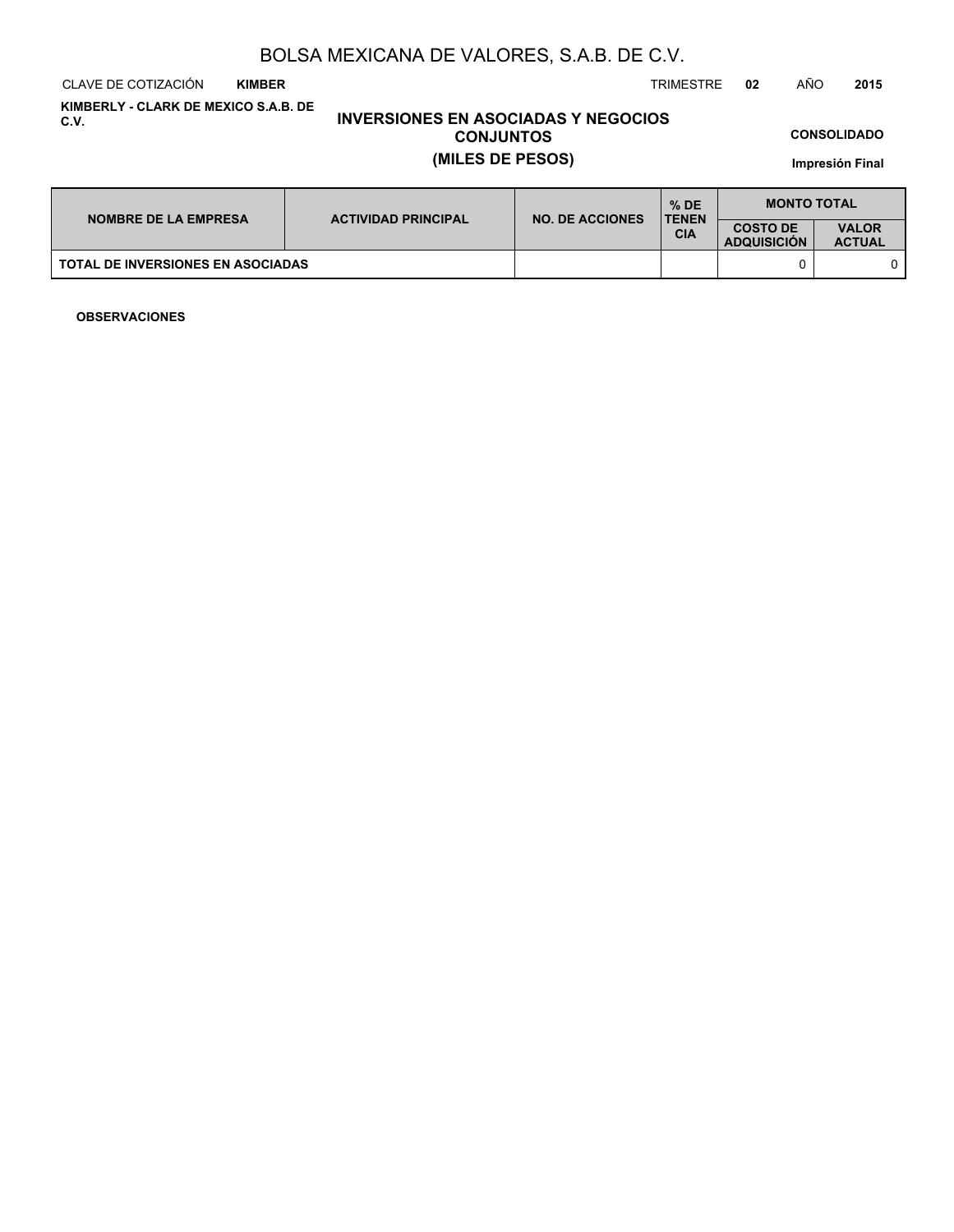CLAVE DE COTIZACIÓN TRIMESTRE **02** AÑO **2015 KIMBER**

**KIMBERLY - CLARK DE MEXICO S.A.B. DE C.V.**

# **INVERSIONES EN ASOCIADAS Y NEGOCIOS CONJUNTOS (MILES DE PESOS)**

**CONSOLIDADO**

**Impresión Final**

| <b>NOMBRE DE LA EMPRESA</b>              | <b>ACTIVIDAD PRINCIPAL</b> | <b>NO. DE ACCIONES</b> | $%$ DE<br><b>TENEN</b> | <b>MONTO TOTAL</b>                    |                               |  |
|------------------------------------------|----------------------------|------------------------|------------------------|---------------------------------------|-------------------------------|--|
|                                          |                            |                        | <b>CIA</b>             | <b>COSTO DE</b><br><b>ADQUISICION</b> | <b>VALOR</b><br><b>ACTUAL</b> |  |
| <b>TOTAL DE INVERSIONES EN ASOCIADAS</b> |                            |                        |                        |                                       |                               |  |

**OBSERVACIONES**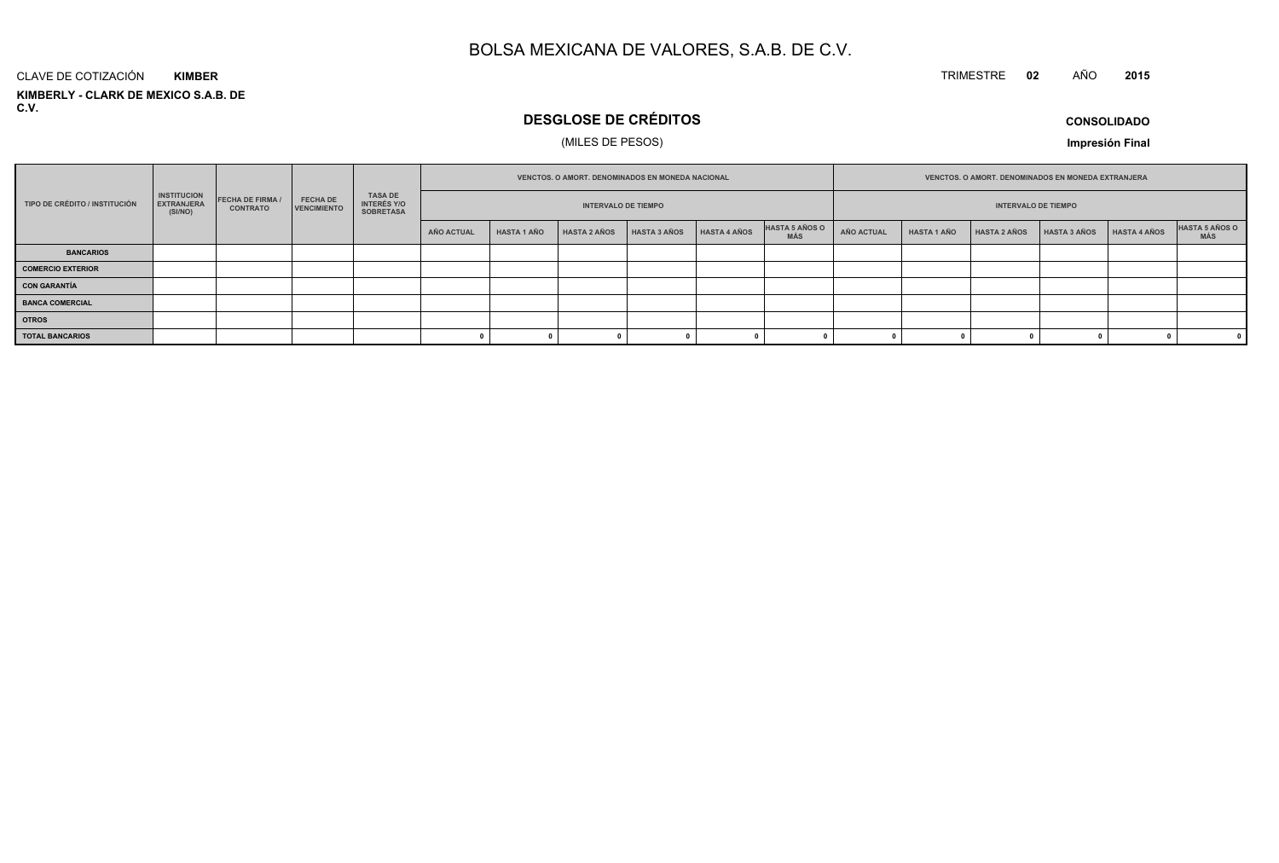#### TRIMESTRE **<sup>02</sup>** AÑO**<sup>2015</sup>**

#### **KIMBERLY - CLARK DE MEXICO S.A.B. DE C.V.**CLAVE DE COTIZACIÓN**KIMBER**

# **DESGLOSE DE CRÉDITOS**

### (MILES DE PESOS)

**CONSOLIDADO**

**Impresión Final**

|                                                                                                                                                                   |  |                                                          |                            | <b>VENCTOS, O AMORT, DENOMINADOS EN MONEDA NACIONAL</b> |                    |                     |                     |                            | <b>VENCTOS, O AMORT, DENOMINADOS EN MONEDA EXTRANJERA</b> |                   |                    |                     |                     |              |                       |
|-------------------------------------------------------------------------------------------------------------------------------------------------------------------|--|----------------------------------------------------------|----------------------------|---------------------------------------------------------|--------------------|---------------------|---------------------|----------------------------|-----------------------------------------------------------|-------------------|--------------------|---------------------|---------------------|--------------|-----------------------|
| <b>INSTITUCION</b><br><b>FECHA DE FIRMA</b><br><b>FECHA DE</b><br>TIPO DE CRÉDITO / INSTITUCIÓN<br><b>EXTRANJERA</b><br>VENCIMIENTO<br><b>CONTRATO</b><br>(SI/NO) |  | <b>TASA DE</b><br><b>INTERÉS Y/O</b><br><b>SOBRETASA</b> | <b>INTERVALO DE TIEMPO</b> |                                                         |                    |                     |                     | <b>INTERVALO DE TIEMPO</b> |                                                           |                   |                    |                     |                     |              |                       |
|                                                                                                                                                                   |  |                                                          |                            | AÑO ACTUAL                                              | <b>HASTA 1 AÑO</b> | <b>HASTA 2 AÑOS</b> | <b>HASTA 3 AÑOS</b> | HASTA 4 AÑOS               | <b>HASTA 5 AÑOS O</b><br><b>MÁS</b>                       | <b>AÑO ACTUAL</b> | <b>HASTA 1 AÑO</b> | <b>HASTA 2 AÑOS</b> | <b>HASTA 3 AÑOS</b> | HASTA 4 AÑOS | HASTA 5 AÑOS O<br>MÁS |
| <b>BANCARIOS</b>                                                                                                                                                  |  |                                                          |                            |                                                         |                    |                     |                     |                            |                                                           |                   |                    |                     |                     |              |                       |
| <b>COMERCIO EXTERIOR</b>                                                                                                                                          |  |                                                          |                            |                                                         |                    |                     |                     |                            |                                                           |                   |                    |                     |                     |              |                       |
| <b>CON GARANTÍA</b>                                                                                                                                               |  |                                                          |                            |                                                         |                    |                     |                     |                            |                                                           |                   |                    |                     |                     |              |                       |
| <b>BANCA COMERCIAL</b>                                                                                                                                            |  |                                                          |                            |                                                         |                    |                     |                     |                            |                                                           |                   |                    |                     |                     |              |                       |
| <b>OTROS</b>                                                                                                                                                      |  |                                                          |                            |                                                         |                    |                     |                     |                            |                                                           |                   |                    |                     |                     |              |                       |
| <b>TOTAL BANCARIOS</b>                                                                                                                                            |  |                                                          |                            |                                                         |                    |                     |                     |                            |                                                           |                   |                    |                     |                     |              |                       |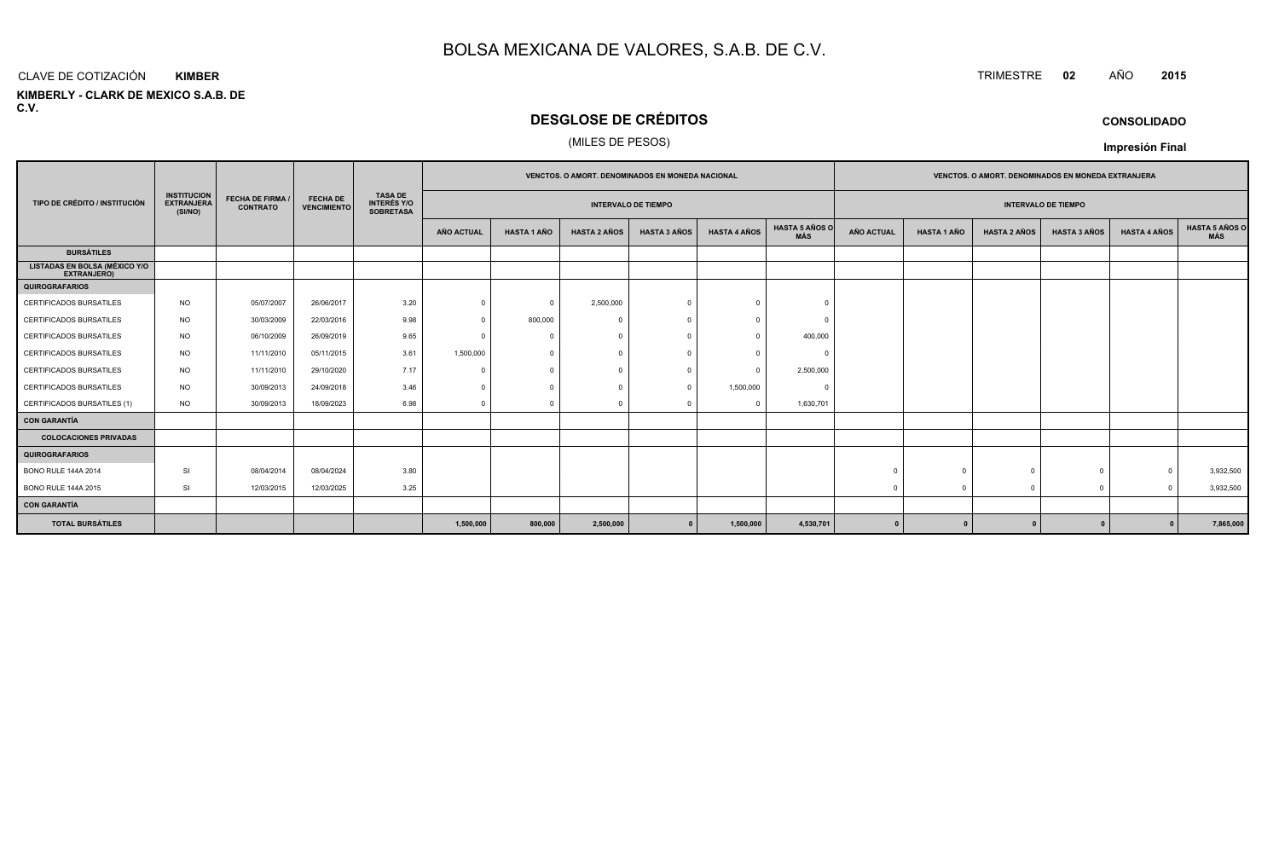#### CLAVE DE COTIZACIÓN TRIMESTRE **<sup>02</sup>** AÑO **<sup>2015</sup> KIMBER**

**KIMBERLY - CLARK DE MEXICO S.A.B. DE C.V.**

# **DESGLOSE DE CRÉDITOS**

### (MILES DE PESOS)

|                                                     |                                                    | <b>FECHA DE FIRMA /</b><br><b>CONTRATO</b> | <b>FECHA DE</b><br><b>VENCIMIENTO</b> | <b>TASA DE</b><br><b>INTERÉS Y/O</b><br><b>SOBRETASA</b> | VENCTOS. O AMORT. DENOMINADOS EN MONEDA NACIONAL |                    |                     |                            |                     | VENCTOS. O AMORT. DENOMINADOS EN MONEDA EXTRANJERA |                            |                    |                     |                     |                     |                              |
|-----------------------------------------------------|----------------------------------------------------|--------------------------------------------|---------------------------------------|----------------------------------------------------------|--------------------------------------------------|--------------------|---------------------|----------------------------|---------------------|----------------------------------------------------|----------------------------|--------------------|---------------------|---------------------|---------------------|------------------------------|
| TIPO DE CRÉDITO / INSTITUCIÓN                       | <b>INSTITUCION</b><br><b>EXTRANJERA</b><br>(SI/NO) |                                            |                                       |                                                          |                                                  |                    |                     | <b>INTERVALO DE TIEMPO</b> |                     |                                                    | <b>INTERVALO DE TIEMPO</b> |                    |                     |                     |                     |                              |
|                                                     |                                                    |                                            |                                       |                                                          | AÑO ACTUAL                                       | <b>HASTA 1 AÑO</b> | <b>HASTA 2 AÑOS</b> | <b>HASTA 3 AÑOS</b>        | <b>HASTA 4 AÑOS</b> | <b>HASTA 5 AÑOS O</b><br>MÁS                       | <b>AÑO ACTUAL</b>          | <b>HASTA 1 AÑO</b> | <b>HASTA 2 AÑOS</b> | <b>HASTA 3 AÑOS</b> | <b>HASTA 4 AÑOS</b> | <b>HASTA 5 AÑOS C</b><br>MÁS |
| <b>BURSÁTILES</b>                                   |                                                    |                                            |                                       |                                                          |                                                  |                    |                     |                            |                     |                                                    |                            |                    |                     |                     |                     |                              |
| <b>LISTADAS EN BOLSA (MÉXICO Y/O</b><br>EXTRANJERO) |                                                    |                                            |                                       |                                                          |                                                  |                    |                     |                            |                     |                                                    |                            |                    |                     |                     |                     |                              |
| <b>QUIROGRAFARIOS</b>                               |                                                    |                                            |                                       |                                                          |                                                  |                    |                     |                            |                     |                                                    |                            |                    |                     |                     |                     |                              |
| CERTIFICADOS BURSATILES                             | <b>NO</b>                                          | 05/07/2007                                 | 26/06/2017                            | 3.20                                                     | $\Omega$                                         | $\Omega$           | 2,500,000           |                            | $\Omega$            |                                                    |                            |                    |                     |                     |                     |                              |
| <b>CERTIFICADOS BURSATILES</b>                      | NO.                                                | 30/03/2009                                 | 22/03/2016                            | 9.98                                                     | $\Omega$                                         | 800,000            | $\Omega$            |                            | $\Omega$            | $\Omega$                                           |                            |                    |                     |                     |                     |                              |
| CERTIFICADOS BURSATILES                             | <b>NO</b>                                          | 06/10/2009                                 | 26/09/2019                            | 9.65                                                     | $\Omega$                                         |                    | $\bigcap$           |                            | $\Omega$            | 400,000                                            |                            |                    |                     |                     |                     |                              |
| <b>CERTIFICADOS BURSATILES</b>                      | <b>NO</b>                                          | 11/11/2010                                 | 05/11/2015                            | 3.61                                                     | 1,500,000                                        | $\Omega$           | $\bigcap$           |                            | $\Omega$            | $\Omega$                                           |                            |                    |                     |                     |                     |                              |
| CERTIFICADOS BURSATILES                             | <b>NO</b>                                          | 11/11/2010                                 | 29/10/2020                            | 7.17                                                     | $\Omega$                                         |                    |                     |                            | $\Omega$            | 2,500,000                                          |                            |                    |                     |                     |                     |                              |
| <b>CERTIFICADOS BURSATILES</b>                      | <b>NO</b>                                          | 30/09/2013                                 | 24/09/2018                            | 3.46                                                     | $^{\circ}$                                       |                    |                     |                            | 1,500,000           | $\Omega$                                           |                            |                    |                     |                     |                     |                              |
| CERTIFICADOS BURSATILES (1)                         | <b>NO</b>                                          | 30/09/2013                                 | 18/09/2023                            | 6.98                                                     | $\Omega$                                         | $\Omega$           | $\cap$              |                            | $^{\circ}$          | 1,630,701                                          |                            |                    |                     |                     |                     |                              |
| <b>CON GARANTÍA</b>                                 |                                                    |                                            |                                       |                                                          |                                                  |                    |                     |                            |                     |                                                    |                            |                    |                     |                     |                     |                              |
| <b>COLOCACIONES PRIVADAS</b>                        |                                                    |                                            |                                       |                                                          |                                                  |                    |                     |                            |                     |                                                    |                            |                    |                     |                     |                     |                              |
| <b>QUIROGRAFARIOS</b>                               |                                                    |                                            |                                       |                                                          |                                                  |                    |                     |                            |                     |                                                    |                            |                    |                     |                     |                     |                              |
| <b>BONO RULE 144A 2014</b>                          | <b>SI</b>                                          | 08/04/2014                                 | 08/04/2024                            | 3.80                                                     |                                                  |                    |                     |                            |                     |                                                    |                            | $\sqrt{ }$         |                     | $\mathbf{0}$        | $\Omega$            | 3,932,500                    |
| <b>BONO RULE 144A 2015</b>                          | SI                                                 | 12/03/2015                                 | 12/03/2025                            | 3.25                                                     |                                                  |                    |                     |                            |                     |                                                    |                            |                    |                     | $\Omega$            | $\Omega$            | 3,932,500                    |
| <b>CON GARANTÍA</b>                                 |                                                    |                                            |                                       |                                                          |                                                  |                    |                     |                            |                     |                                                    |                            |                    |                     |                     |                     |                              |
| <b>TOTAL BURSÁTILES</b>                             |                                                    |                                            |                                       |                                                          | 1,500,000                                        | 800,000            | 2,500,000           |                            | 1,500,000           | 4,530,701                                          | $\mathbf{0}$               |                    |                     |                     |                     | 7,865,000                    |

### **CONSOLIDADO**

**Impresión Final**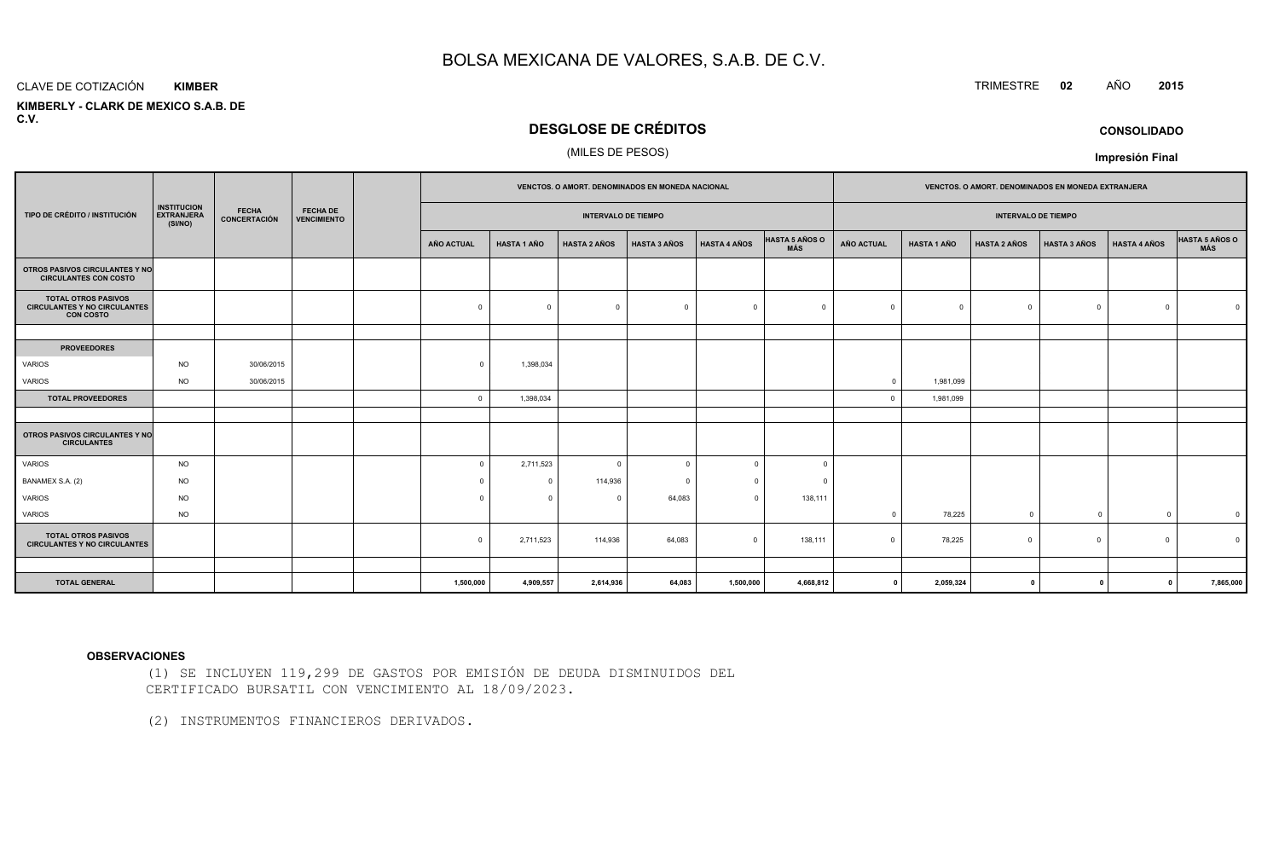#### CLAVE DE COTIZACIÓN TRIMESTRE **<sup>02</sup>** AÑO **<sup>2015</sup> KIMBER**

 **KIMBERLY - CLARK DE MEXICO S.A.B. DEC.V.**

## **DESGLOSE DE CRÉDITOS**

### (MILES DE PESOS)

|                                                                                                                                                              |           |            |  | <b>VENCTOS, O AMORT, DENOMINADOS EN MONEDA NACIONAL</b> |                    |                     |                     |                     | <b>VENCTOS, O AMORT, DENOMINADOS EN MONEDA EXTRANJERA</b> |                   |                    |                     |                     |                     |                       |
|--------------------------------------------------------------------------------------------------------------------------------------------------------------|-----------|------------|--|---------------------------------------------------------|--------------------|---------------------|---------------------|---------------------|-----------------------------------------------------------|-------------------|--------------------|---------------------|---------------------|---------------------|-----------------------|
| <b>INSTITUCION</b><br><b>FECHA</b><br><b>FECHA DE</b><br><b>EXTRANJERA</b><br>TIPO DE CRÉDITO / INSTITUCIÓN<br>CONCERTACIÓN<br><b>VENCIMIENTO</b><br>(SI/NO) |           |            |  | <b>INTERVALO DE TIEMPO</b>                              |                    |                     |                     |                     | <b>INTERVALO DE TIEMPO</b>                                |                   |                    |                     |                     |                     |                       |
|                                                                                                                                                              |           |            |  | <b>AÑO ACTUAL</b>                                       | <b>HASTA 1 AÑO</b> | <b>HASTA 2 AÑOS</b> | <b>HASTA 3 AÑOS</b> | <b>HASTA 4 AÑOS</b> | HASTA 5 AÑOS O<br>MÁS                                     | <b>AÑO ACTUAL</b> | <b>HASTA 1 AÑO</b> | <b>HASTA 2 AÑOS</b> | <b>HASTA 3 AÑOS</b> | <b>HASTA 4 AÑOS</b> | HASTA 5 AÑOS O<br>MÁS |
| OTROS PASIVOS CIRCULANTES Y NO<br><b>CIRCULANTES CON COSTO</b>                                                                                               |           |            |  |                                                         |                    |                     |                     |                     |                                                           |                   |                    |                     |                     |                     |                       |
| <b>TOTAL OTROS PASIVOS</b><br><b>CIRCULANTES Y NO CIRCULANTES</b><br><b>CON COSTO</b>                                                                        |           |            |  | $\mathbf 0$                                             | $\Omega$           | $\mathbf 0$         | $\overline{0}$      | $\Omega$            | $\Omega$                                                  | $\Omega$          | $^{\circ}$         | $\Omega$            | $\circ$             | $\Omega$            |                       |
|                                                                                                                                                              |           |            |  |                                                         |                    |                     |                     |                     |                                                           |                   |                    |                     |                     |                     |                       |
| <b>PROVEEDORES</b>                                                                                                                                           |           |            |  |                                                         |                    |                     |                     |                     |                                                           |                   |                    |                     |                     |                     |                       |
| VARIOS                                                                                                                                                       | <b>NO</b> | 30/06/2015 |  | $\Omega$                                                | 1,398,034          |                     |                     |                     |                                                           |                   |                    |                     |                     |                     |                       |
| VARIOS                                                                                                                                                       | <b>NO</b> | 30/06/2015 |  |                                                         |                    |                     |                     |                     |                                                           | $\Omega$          | 1,981,099          |                     |                     |                     |                       |
| <b>TOTAL PROVEEDORES</b>                                                                                                                                     |           |            |  | $\overline{0}$                                          | 1,398,034          |                     |                     |                     |                                                           |                   | 1,981,099          |                     |                     |                     |                       |
|                                                                                                                                                              |           |            |  |                                                         |                    |                     |                     |                     |                                                           |                   |                    |                     |                     |                     |                       |
| <b>OTROS PASIVOS CIRCULANTES Y NO</b><br><b>CIRCULANTES</b>                                                                                                  |           |            |  |                                                         |                    |                     |                     |                     |                                                           |                   |                    |                     |                     |                     |                       |
| VARIOS                                                                                                                                                       | <b>NO</b> |            |  | $\Omega$                                                | 2,711,523          | $\mathbf 0$         | $\Omega$            | $\Omega$            | $\Omega$                                                  |                   |                    |                     |                     |                     |                       |
| BANAMEX S.A. (2)                                                                                                                                             | <b>NO</b> |            |  | $\Omega$                                                | 0                  | 114,936             | $\Omega$            | $\Omega$            | $\Omega$                                                  |                   |                    |                     |                     |                     |                       |
| VARIOS                                                                                                                                                       | <b>NO</b> |            |  |                                                         | $\Omega$           | $\mathbf 0$         | 64,083              | $\Omega$            | 138,111                                                   |                   |                    |                     |                     |                     |                       |
| VARIOS                                                                                                                                                       | <b>NO</b> |            |  |                                                         |                    |                     |                     |                     |                                                           |                   | 78,225             | $^{\circ}$          | $\overline{0}$      | $\Omega$            | $\overline{0}$        |
| <b>TOTAL OTROS PASIVOS</b><br><b>CIRCULANTES Y NO CIRCULANTES</b>                                                                                            |           |            |  | $\overline{0}$                                          | 2,711,523          | 114,936             | 64,083              | $\overline{0}$      | 138,111                                                   | $\Omega$          | 78,225             | $\Omega$            | $\circ$             | $\Omega$            | $\Omega$              |
|                                                                                                                                                              |           |            |  |                                                         |                    |                     |                     |                     |                                                           |                   |                    |                     |                     |                     |                       |
| <b>TOTAL GENERAL</b>                                                                                                                                         |           |            |  | 1,500,000                                               | 4,909,557          | 2,614,936           | 64,083              | 1,500,000           | 4,668,812                                                 | $\mathbf 0$       | 2,059,324          | 0                   | $\Omega$            | $\mathbf{0}$        | 7,865,000             |

#### **OBSERVACIONES**

(1) SE INCLUYEN 119,299 DE GASTOS POR EMISIÓN DE DEUDA DISMINUIDOS DELCERTIFICADO BURSATIL CON VENCIMIENTO AL 18/09/2023.

(2) INSTRUMENTOS FINANCIEROS DERIVADOS.

**Impresión Final**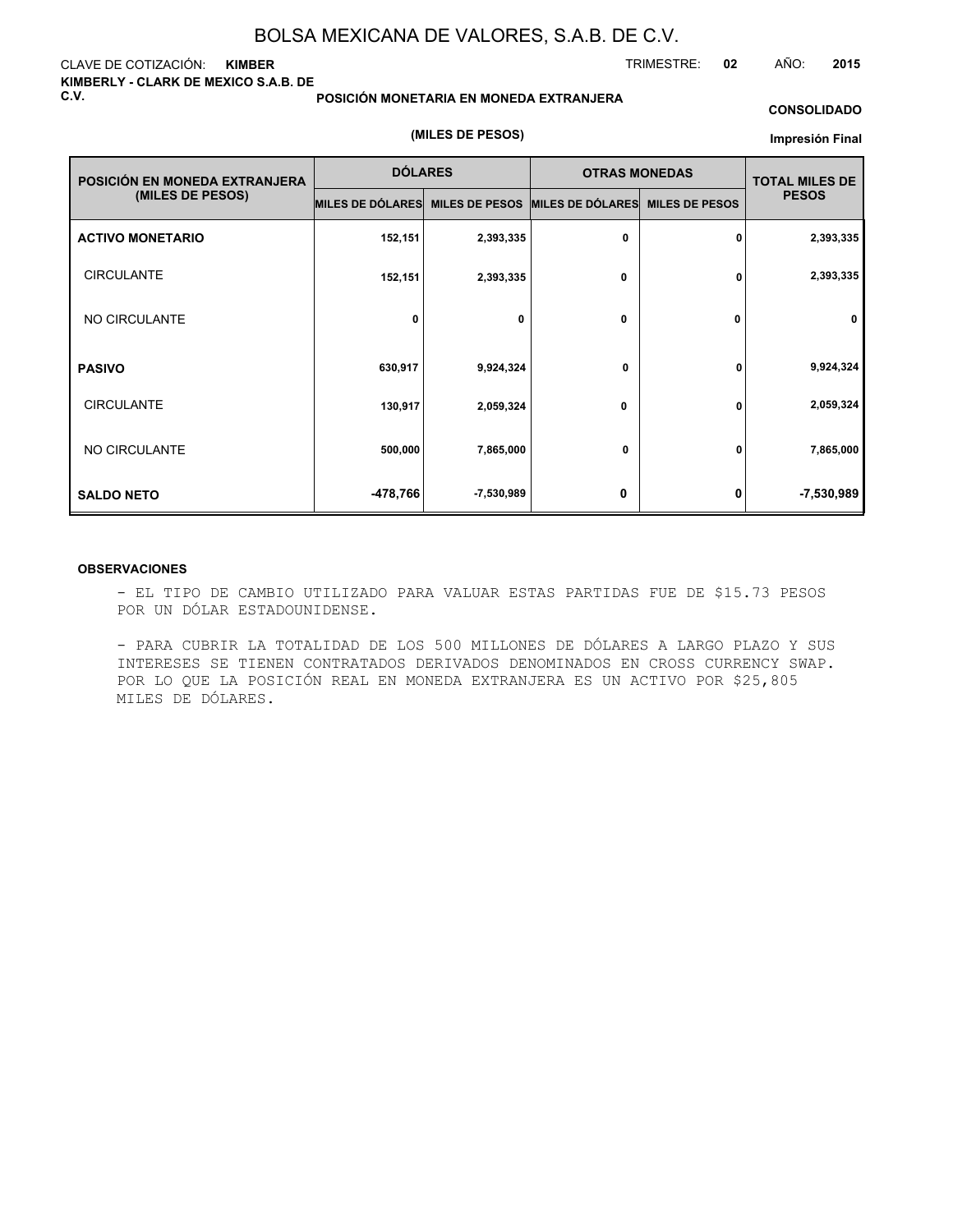### CLAVE DE COTIZACIÓN: **KIMBER KIMBERLY - CLARK DE MEXICO S.A.B. DE C.V.**

### **POSICIÓN MONETARIA EN MONEDA EXTRANJERA**

**(MILES DE PESOS)**

### **CONSOLIDADO**

#### **Impresión Final**

TRIMESTRE: **02** AÑO: **2015**

| POSICIÓN EN MONEDA EXTRANJERA | <b>DÓLARES</b>   |                       | <b>OTRAS MONEDAS</b> | <b>TOTAL MILES DE</b> |              |
|-------------------------------|------------------|-----------------------|----------------------|-----------------------|--------------|
| (MILES DE PESOS)              | MILES DE DÓLARES | <b>MILES DE PESOS</b> | MILES DE DÓLARES     | <b>MILES DE PESOS</b> | <b>PESOS</b> |
| <b>ACTIVO MONETARIO</b>       | 152,151          | 2,393,335             | 0                    | 0                     | 2,393,335    |
| <b>CIRCULANTE</b>             | 152,151          | 2,393,335             | 0                    | 0                     | 2,393,335    |
| NO CIRCULANTE                 | 0                | 0                     | 0                    | 0                     | 0            |
| <b>PASIVO</b>                 | 630,917          | 9,924,324             | 0                    | 0                     | 9,924,324    |
| <b>CIRCULANTE</b>             | 130,917          | 2,059,324             | 0                    | 0                     | 2,059,324    |
| NO CIRCULANTE                 | 500,000          | 7,865,000             | 0                    | 0                     | 7,865,000    |
| <b>SALDO NETO</b>             | -478,766         | -7,530,989            | 0                    | 0                     | $-7,530,989$ |

### **OBSERVACIONES**

- EL TIPO DE CAMBIO UTILIZADO PARA VALUAR ESTAS PARTIDAS FUE DE \$15.73 PESOS POR UN DÓLAR ESTADOUNIDENSE.

- PARA CUBRIR LA TOTALIDAD DE LOS 500 MILLONES DE DÓLARES A LARGO PLAZO Y SUS INTERESES SE TIENEN CONTRATADOS DERIVADOS DENOMINADOS EN CROSS CURRENCY SWAP. POR LO QUE LA POSICIÓN REAL EN MONEDA EXTRANJERA ES UN ACTIVO POR \$25,805 MILES DE DÓLARES.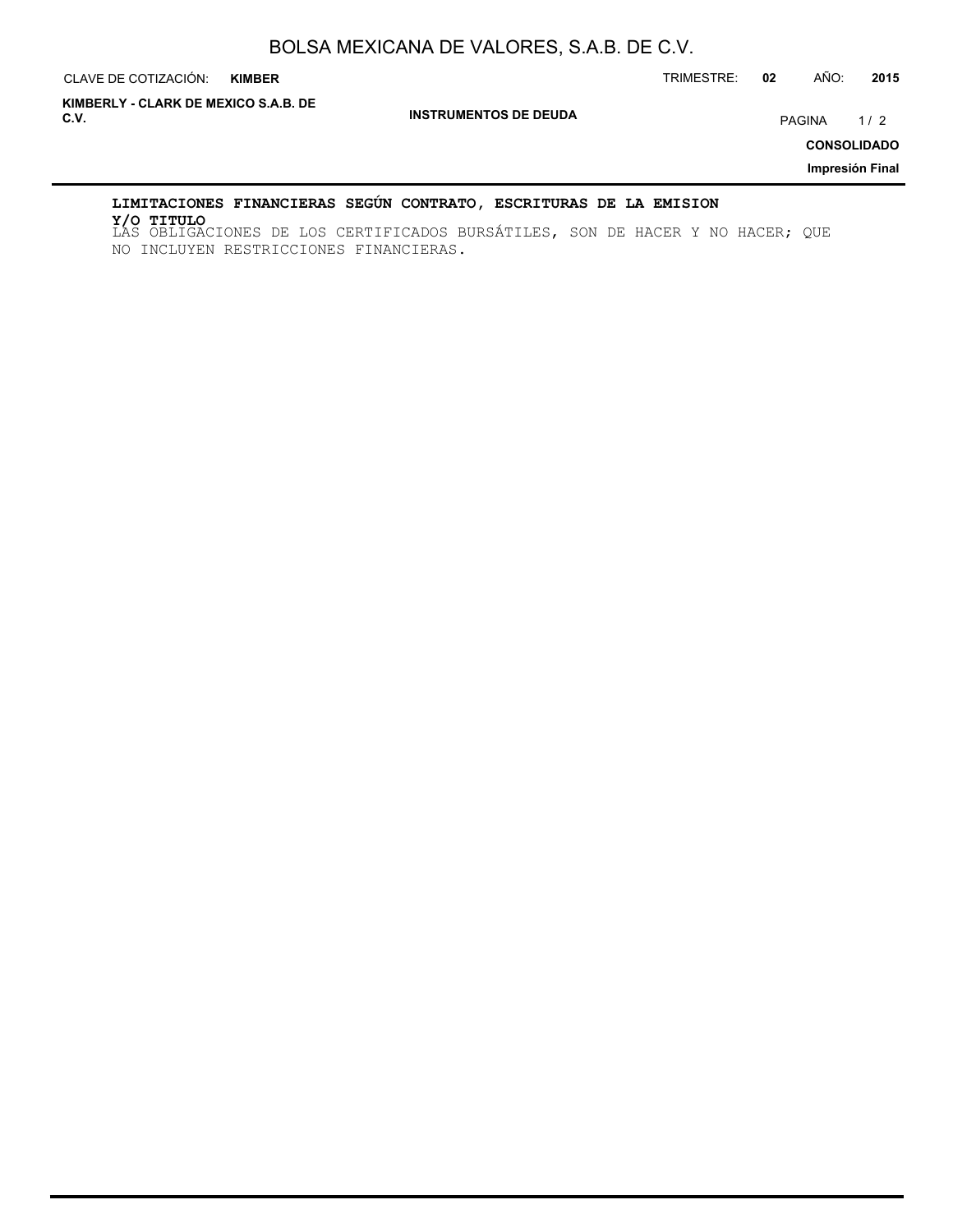CLAVE DE COTIZACIÓN: TRIMESTRE: **02** AÑO: **2015**

**INSTRUMENTOS DE DEUDA C.V.** PAGINA 1 / 2 **KIMBERLY - CLARK DE MEXICO S.A.B. DE**

**CONSOLIDADO**

**Impresión Final**

### **LIMITACIONES FINANCIERAS SEGÚN CONTRATO, ESCRITURAS DE LA EMISION**

LAS OBLIGACIONES DE LOS CERTIFICADOS BURSÁTILES, SON DE HACER Y NO HACER; QUE **Y/O TITULO**NO INCLUYEN RESTRICCIONES FINANCIERAS.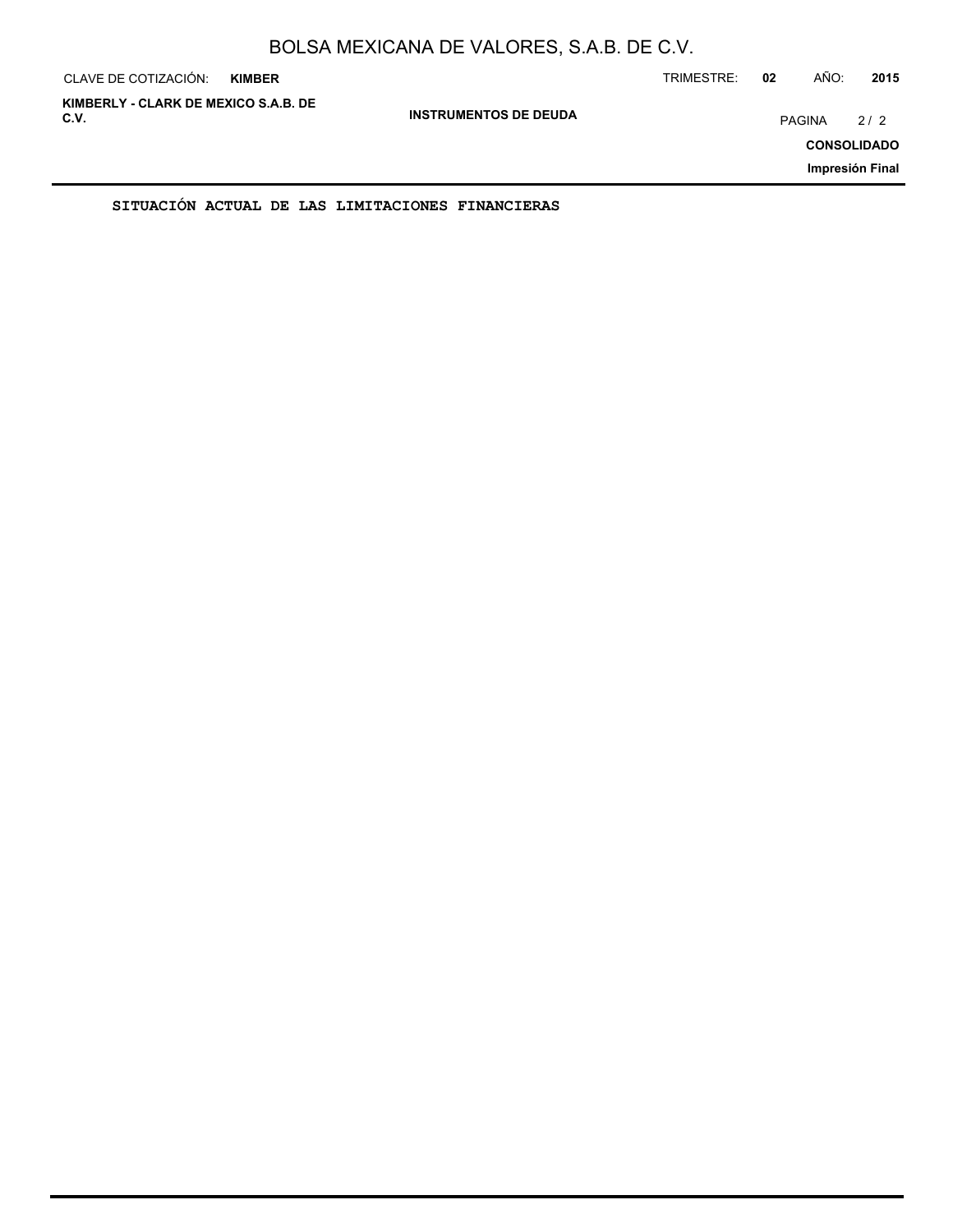| CLAVE DE COTIZACIÓN:                         | <b>KIMBER</b> |                              | TRIMESTRE: | 02     | AÑO: | 2015                                         |
|----------------------------------------------|---------------|------------------------------|------------|--------|------|----------------------------------------------|
| KIMBERLY - CLARK DE MEXICO S.A.B. DE<br>C.V. |               | <b>INSTRUMENTOS DE DEUDA</b> |            | PAGINA |      | 2/2<br><b>CONSOLIDADO</b><br>Impresión Final |
|                                              |               |                              |            |        |      |                                              |

**SITUACIÓN ACTUAL DE LAS LIMITACIONES FINANCIERAS**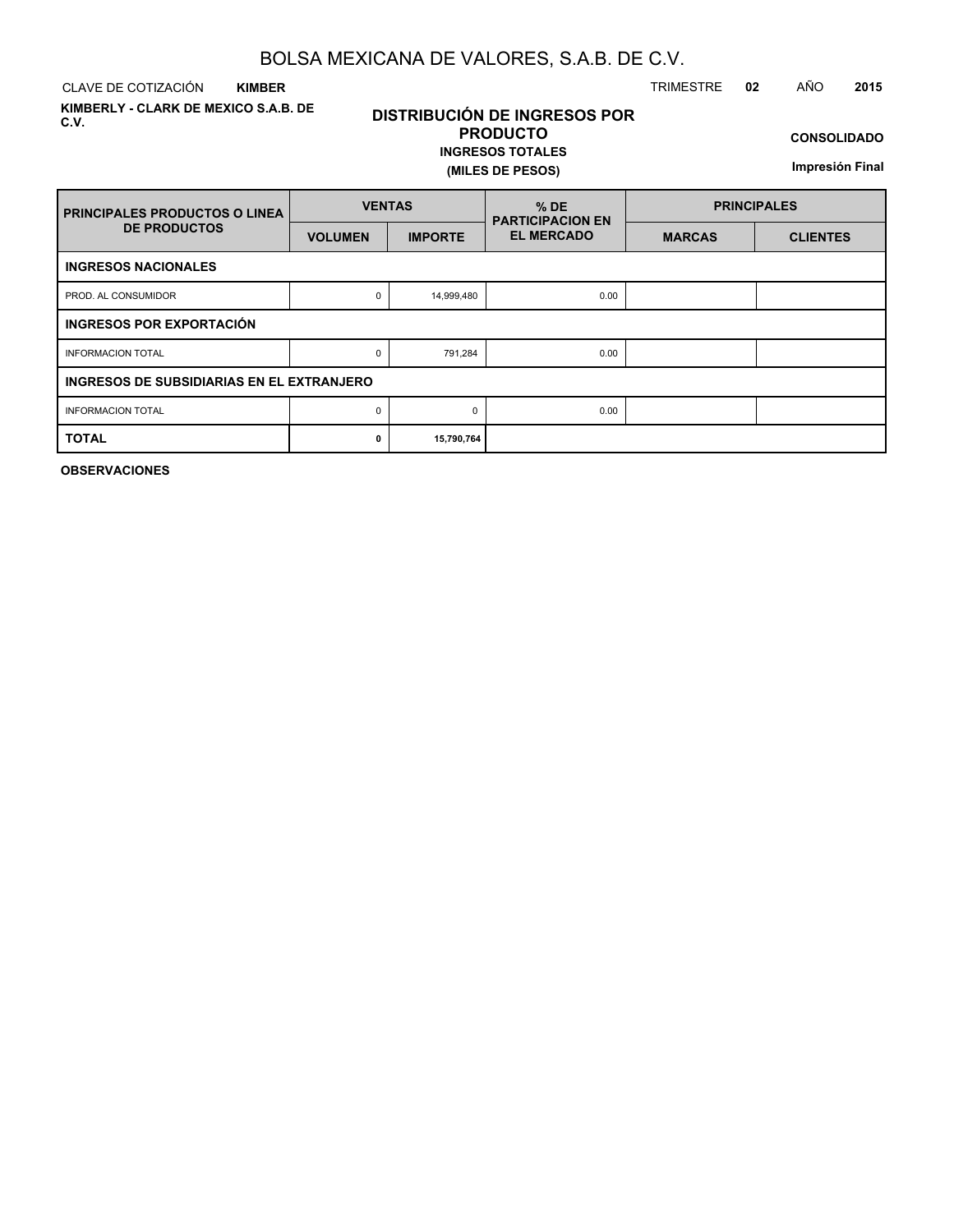CLAVE DE COTIZACIÓN TRIMESTRE **02** AÑO **2015 KIMBER**

**KIMBERLY - CLARK DE MEXICO S.A.B. DE C.V.**

# **DISTRIBUCIÓN DE INGRESOS POR PRODUCTO**

### **INGRESOS TOTALES (MILES DE PESOS)**

**CONSOLIDADO**

**Impresión Final**

| <b>PRINCIPALES PRODUCTOS O LINEA</b>      | <b>VENTAS</b>  |                | $%$ DE<br><b>PARTICIPACION EN</b> | <b>PRINCIPALES</b> |                 |  |  |  |  |  |  |  |  |
|-------------------------------------------|----------------|----------------|-----------------------------------|--------------------|-----------------|--|--|--|--|--|--|--|--|
| <b>DE PRODUCTOS</b>                       | <b>VOLUMEN</b> | <b>IMPORTE</b> | <b>EL MERCADO</b>                 | <b>MARCAS</b>      | <b>CLIENTES</b> |  |  |  |  |  |  |  |  |
| <b>INGRESOS NACIONALES</b>                |                |                |                                   |                    |                 |  |  |  |  |  |  |  |  |
| PROD. AL CONSUMIDOR                       | 0              | 14,999,480     | 0.00                              |                    |                 |  |  |  |  |  |  |  |  |
| INGRESOS POR EXPORTACIÓN                  |                |                |                                   |                    |                 |  |  |  |  |  |  |  |  |
| <b>INFORMACION TOTAL</b>                  | 0              | 791,284        | 0.00                              |                    |                 |  |  |  |  |  |  |  |  |
| INGRESOS DE SUBSIDIARIAS EN EL EXTRANJERO |                |                |                                   |                    |                 |  |  |  |  |  |  |  |  |
| <b>INFORMACION TOTAL</b>                  | 0              |                | 0.00                              |                    |                 |  |  |  |  |  |  |  |  |
| <b>TOTAL</b>                              | 0              | 15,790,764     |                                   |                    |                 |  |  |  |  |  |  |  |  |

**OBSERVACIONES**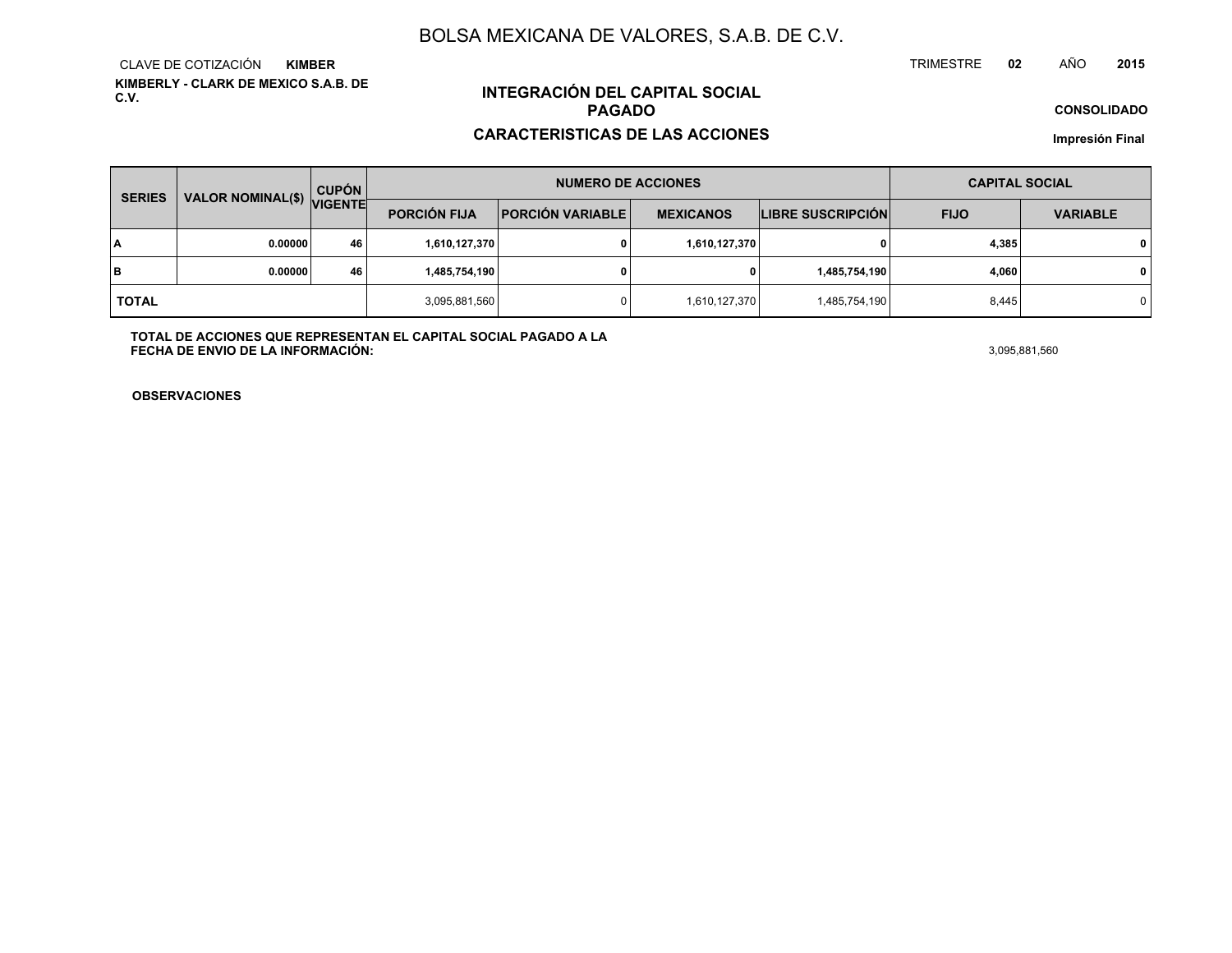**KIMBERLY - CLARK DE MEXICO S.A.B. DE C.V.**CLAVE DE COTIZACIÓN**KIMBER**

# **INTEGRACIÓN DEL CAPITAL SOCIALPAGADO**

### **CARACTERISTICAS DE LAS ACCIONES**

**CONSOLIDADO**

**Impresión Final**

| <b>VALOR NOMINAL(\$)</b><br><b>SERIES</b> |         | <b>CUPÓN</b>   |                                                                    | <b>NUMERO DE ACCIONES</b> | <b>CAPITAL SOCIAL</b>    |               |                 |                |
|-------------------------------------------|---------|----------------|--------------------------------------------------------------------|---------------------------|--------------------------|---------------|-----------------|----------------|
|                                           |         | <b>VIGENTE</b> | <b>PORCIÓN FIJA</b><br><b>PORCIÓN VARIABLE</b><br><b>MEXICANOS</b> |                           | <b>LIBRE SUSCRIPCIÓN</b> | <b>FIJO</b>   | <b>VARIABLE</b> |                |
| l٨                                        | 0.00000 | 46             | 1,610,127,370                                                      |                           | 1,610,127,370            |               | 4,385           | $\mathbf{0}$   |
| lв                                        | 0.00000 | 46             | 1,485,754,190                                                      |                           |                          | 1,485,754,190 | 4,060           | $\mathbf 0$    |
| <b>TOTAL</b>                              |         |                | 3,095,881,560                                                      |                           | 1,610,127,370            | 1,485,754,190 | 8,445           | $\overline{0}$ |

**TOTAL DE ACCIONES QUE REPRESENTAN EL CAPITAL SOCIAL PAGADO A LAFECHA DE ENVIO DE LA INFORMACIÓN:**3,095,881,560

TRIMESTRE

**OBSERVACIONES**

 **<sup>02</sup>** AÑO**<sup>2015</sup>**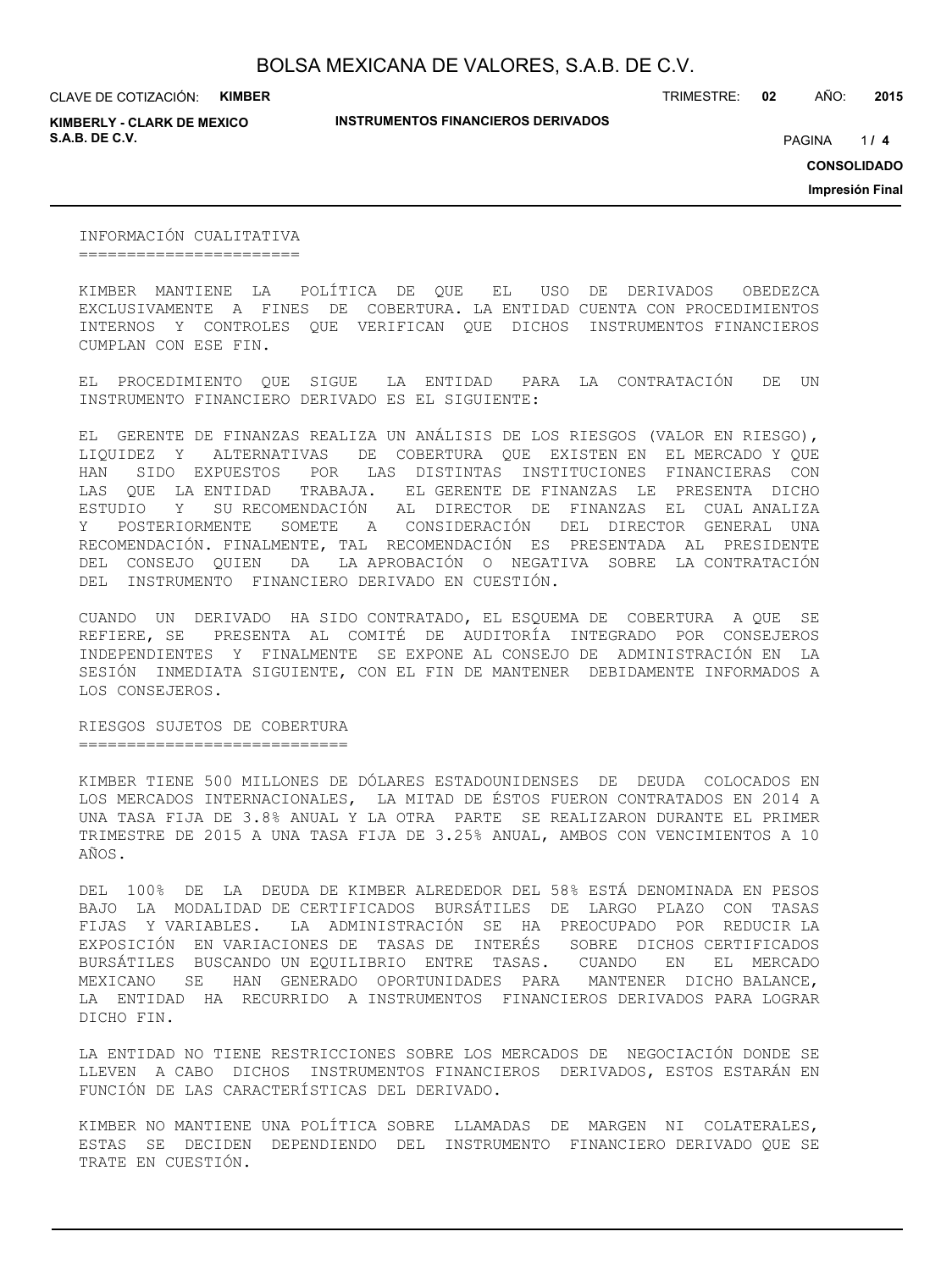**KIMBERLY - CLARK DE MEXICO S.A.B. DE C.V.** *A* **PAGINA <b>***11* **<b>4 PAGINA** *4 PAGINA <i>4 PAGINA 4 PAGINA 4 PAGINA <i>4 PAGINA*

**INSTRUMENTOS FINANCIEROS DERIVADOS**

TRIMESTRE: **02** AÑO: **2015**

 $114$ 

**CONSOLIDADO**

**Impresión Final**

INFORMACIÓN CUALITATIVA =======================

KIMBER MANTIENE LA POLÍTICA DE QUE EL USO DE DERIVADOS OBEDEZCA EXCLUSIVAMENTE A FINES DE COBERTURA. LA ENTIDAD CUENTA CON PROCEDIMIENTOS INTERNOS Y CONTROLES QUE VERIFICAN QUE DICHOS INSTRUMENTOS FINANCIEROS CUMPLAN CON ESE FIN.

EL PROCEDIMIENTO QUE SIGUE LA ENTIDAD PARA LA CONTRATACIÓN DE UN INSTRUMENTO FINANCIERO DERIVADO ES EL SIGUIENTE:

EL GERENTE DE FINANZAS REALIZA UN ANÁLISIS DE LOS RIESGOS (VALOR EN RIESGO), LIQUIDEZ Y ALTERNATIVAS DE COBERTURA QUE EXISTEN EN EL MERCADO Y QUE HAN SIDO EXPUESTOS POR LAS DISTINTAS INSTITUCIONES FINANCIERAS CON LAS QUE LA ENTIDAD TRABAJA. EL GERENTE DE FINANZAS LE PRESENTA DICHO ESTUDIO Y SU RECOMENDACIÓN AL DIRECTOR DE FINANZAS EL CUAL ANALIZA Y POSTERIORMENTE SOMETE A CONSIDERACIÓN DEL DIRECTOR GENERAL UNA RECOMENDACIÓN. FINALMENTE, TAL RECOMENDACIÓN ES PRESENTADA AL PRESIDENTE DEL CONSEJO QUIEN DA LA APROBACIÓN O NEGATIVA SOBRE LA CONTRATACIÓN DEL INSTRUMENTO FINANCIERO DERIVADO EN CUESTIÓN.

CUANDO UN DERIVADO HA SIDO CONTRATADO, EL ESQUEMA DE COBERTURA A QUE SE REFIERE, SE PRESENTA AL COMITÉ DE AUDITORÍA INTEGRADO POR CONSEJEROS INDEPENDIENTES Y FINALMENTE SE EXPONE AL CONSEJO DE ADMINISTRACIÓN EN LA SESIÓN INMEDIATA SIGUIENTE, CON EL FIN DE MANTENER DEBIDAMENTE INFORMADOS A LOS CONSEJEROS.

RIESGOS SUJETOS DE COBERTURA ============================

KIMBER TIENE 500 MILLONES DE DÓLARES ESTADOUNIDENSES DE DEUDA COLOCADOS EN LOS MERCADOS INTERNACIONALES, LA MITAD DE ÉSTOS FUERON CONTRATADOS EN 2014 A UNA TASA FIJA DE 3.8% ANUAL Y LA OTRA PARTE SE REALIZARON DURANTE EL PRIMER TRIMESTRE DE 2015 A UNA TASA FIJA DE 3.25% ANUAL, AMBOS CON VENCIMIENTOS A 10 AÑOS.

DEL 100% DE LA DEUDA DE KIMBER ALREDEDOR DEL 58% ESTÁ DENOMINADA EN PESOS BAJO LA MODALIDAD DE CERTIFICADOS BURSÁTILES DE LARGO PLAZO CON TASAS FIJAS Y VARIABLES. LA ADMINISTRACIÓN SE HA PREOCUPADO POR REDUCIR LA EXPOSICIÓN EN VARIACIONES DE TASAS DE INTERÉS SOBRE DICHOS CERTIFICADOS BURSÁTILES BUSCANDO UN EQUILIBRIO ENTRE TASAS. CUANDO EN EL MERCADO MEXICANO SE HAN GENERADO OPORTUNIDADES PARA MANTENER DICHO BALANCE, LA ENTIDAD HA RECURRIDO A INSTRUMENTOS FINANCIEROS DERIVADOS PARA LOGRAR DICHO FIN.

LA ENTIDAD NO TIENE RESTRICCIONES SOBRE LOS MERCADOS DE NEGOCIACIÓN DONDE SE LLEVEN A CABO DICHOS INSTRUMENTOS FINANCIEROS DERIVADOS, ESTOS ESTARÁN EN FUNCIÓN DE LAS CARACTERÍSTICAS DEL DERIVADO.

KIMBER NO MANTIENE UNA POLÍTICA SOBRE LLAMADAS DE MARGEN NI COLATERALES, ESTAS SE DECIDEN DEPENDIENDO DEL INSTRUMENTO FINANCIERO DERIVADO QUE SE TRATE EN CUESTIÓN.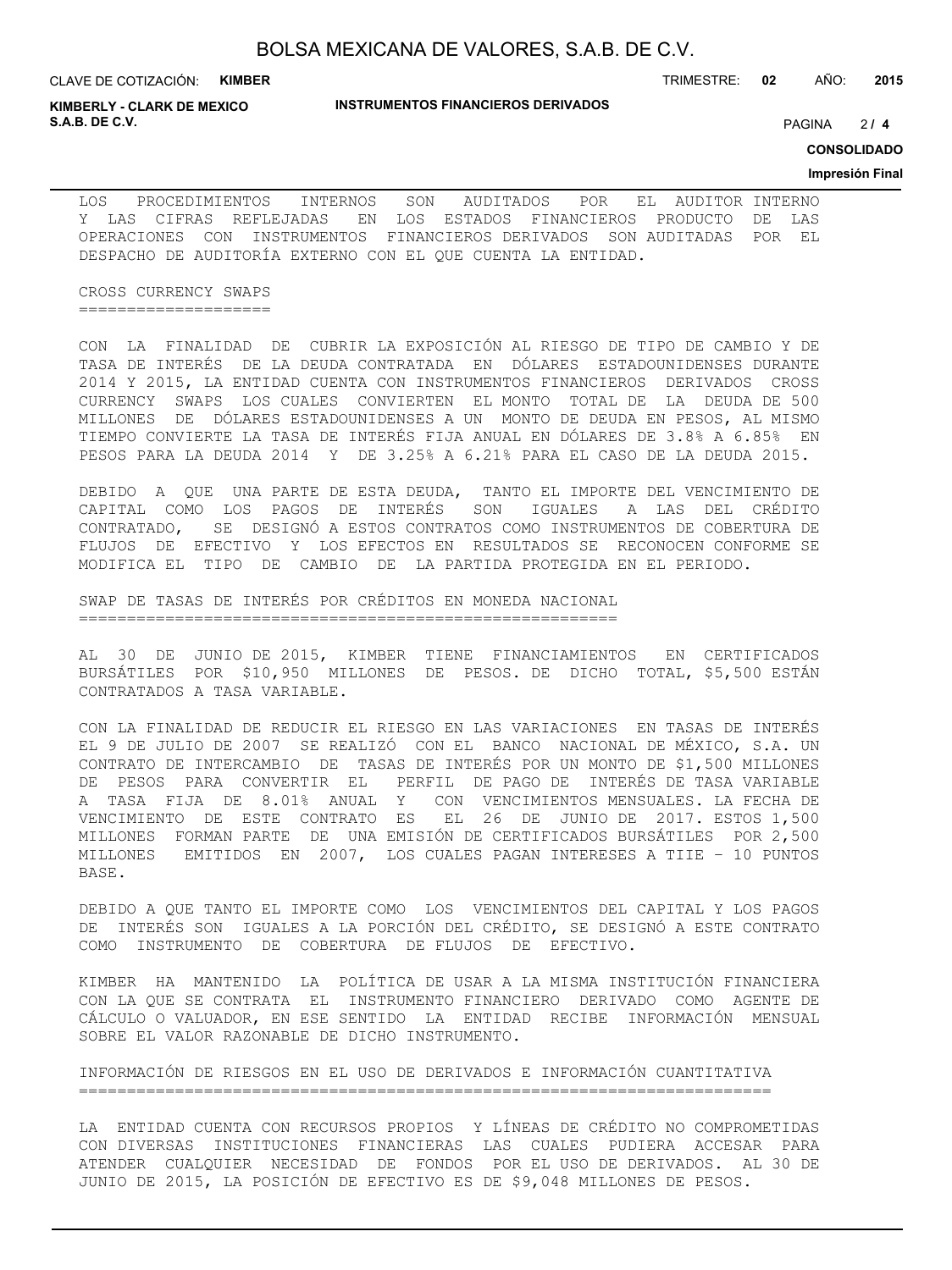**KIMBERLY - CLARK DE MEXICO S.A.B. DE C.V.** PAGINA **/ 4**

TRIMESTRE: **02** AÑO: **2015**

 $214$ 

**CONSOLIDADO**

#### **Impresión Final**

LOS PROCEDIMIENTOS INTERNOS SON AUDITADOS POR EL AUDITOR INTERNO Y LAS CIFRAS REFLEJADAS EN LOS ESTADOS FINANCIEROS PRODUCTO DE LAS OPERACIONES CON INSTRUMENTOS FINANCIEROS DERIVADOS SON AUDITADAS POR EL DESPACHO DE AUDITORÍA EXTERNO CON EL QUE CUENTA LA ENTIDAD.

CROSS CURRENCY SWAPS ====================

CON LA FINALIDAD DE CUBRIR LA EXPOSICIÓN AL RIESGO DE TIPO DE CAMBIO Y DE TASA DE INTERÉS DE LA DEUDA CONTRATADA EN DÓLARES ESTADOUNIDENSES DURANTE 2014 Y 2015, LA ENTIDAD CUENTA CON INSTRUMENTOS FINANCIEROS DERIVADOS CROSS CURRENCY SWAPS LOS CUALES CONVIERTEN EL MONTO TOTAL DE LA DEUDA DE 500 MILLONES DE DÓLARES ESTADOUNIDENSES A UN MONTO DE DEUDA EN PESOS, AL MISMO TIEMPO CONVIERTE LA TASA DE INTERÉS FIJA ANUAL EN DÓLARES DE 3.8% A 6.85% EN PESOS PARA LA DEUDA 2014 Y DE 3.25% A 6.21% PARA EL CASO DE LA DEUDA 2015.

DEBIDO A QUE UNA PARTE DE ESTA DEUDA, TANTO EL IMPORTE DEL VENCIMIENTO DE CAPITAL COMO LOS PAGOS DE INTERÉS SON IGUALES A LAS DEL CRÉDITO CONTRATADO, SE DESIGNÓ A ESTOS CONTRATOS COMO INSTRUMENTOS DE COBERTURA DE FLUJOS DE EFECTIVO Y LOS EFECTOS EN RESULTADOS SE RECONOCEN CONFORME SE MODIFICA EL TIPO DE CAMBIO DE LA PARTIDA PROTEGIDA EN EL PERIODO.

SWAP DE TASAS DE INTERÉS POR CRÉDITOS EN MONEDA NACIONAL ========================================================

AL 30 DE JUNIO DE 2015, KIMBER TIENE FINANCIAMIENTOS EN CERTIFICADOS BURSÁTILES POR \$10,950 MILLONES DE PESOS. DE DICHO TOTAL, \$5,500 ESTÁN CONTRATADOS A TASA VARIABLE.

CON LA FINALIDAD DE REDUCIR EL RIESGO EN LAS VARIACIONES EN TASAS DE INTERÉS EL 9 DE JULIO DE 2007 SE REALIZÓ CON EL BANCO NACIONAL DE MÉXICO, S.A. UN CONTRATO DE INTERCAMBIO DE TASAS DE INTERÉS POR UN MONTO DE \$1,500 MILLONES DE PESOS PARA CONVERTIR EL PERFIL DE PAGO DE INTERÉS DE TASA VARIABLE A TASA FIJA DE 8.01% ANUAL Y CON VENCIMIENTOS MENSUALES. LA FECHA DE VENCIMIENTO DE ESTE CONTRATO ES EL 26 DE JUNIO DE 2017. ESTOS 1,500 MILLONES FORMAN PARTE DE UNA EMISIÓN DE CERTIFICADOS BURSÁTILES POR 2,500 MILLONES EMITIDOS EN 2007, LOS CUALES PAGAN INTERESES A TIIE – 10 PUNTOS BASE.

DEBIDO A QUE TANTO EL IMPORTE COMO LOS VENCIMIENTOS DEL CAPITAL Y LOS PAGOS DE INTERÉS SON IGUALES A LA PORCIÓN DEL CRÉDITO, SE DESIGNÓ A ESTE CONTRATO COMO INSTRUMENTO DE COBERTURA DE FLUJOS DE EFECTIVO.

KIMBER HA MANTENIDO LA POLÍTICA DE USAR A LA MISMA INSTITUCIÓN FINANCIERA CON LA QUE SE CONTRATA EL INSTRUMENTO FINANCIERO DERIVADO COMO AGENTE DE CÁLCULO O VALUADOR, EN ESE SENTIDO LA ENTIDAD RECIBE INFORMACIÓN MENSUAL SOBRE EL VALOR RAZONABLE DE DICHO INSTRUMENTO.

INFORMACIÓN DE RIESGOS EN EL USO DE DERIVADOS E INFORMACIÓN CUANTITATIVA ========================================================================

LA ENTIDAD CUENTA CON RECURSOS PROPIOS Y LÍNEAS DE CRÉDITO NO COMPROMETIDAS CON DIVERSAS INSTITUCIONES FINANCIERAS LAS CUALES PUDIERA ACCESAR PARA ATENDER CUALQUIER NECESIDAD DE FONDOS POR EL USO DE DERIVADOS. AL 30 DE JUNIO DE 2015, LA POSICIÓN DE EFECTIVO ES DE \$9,048 MILLONES DE PESOS.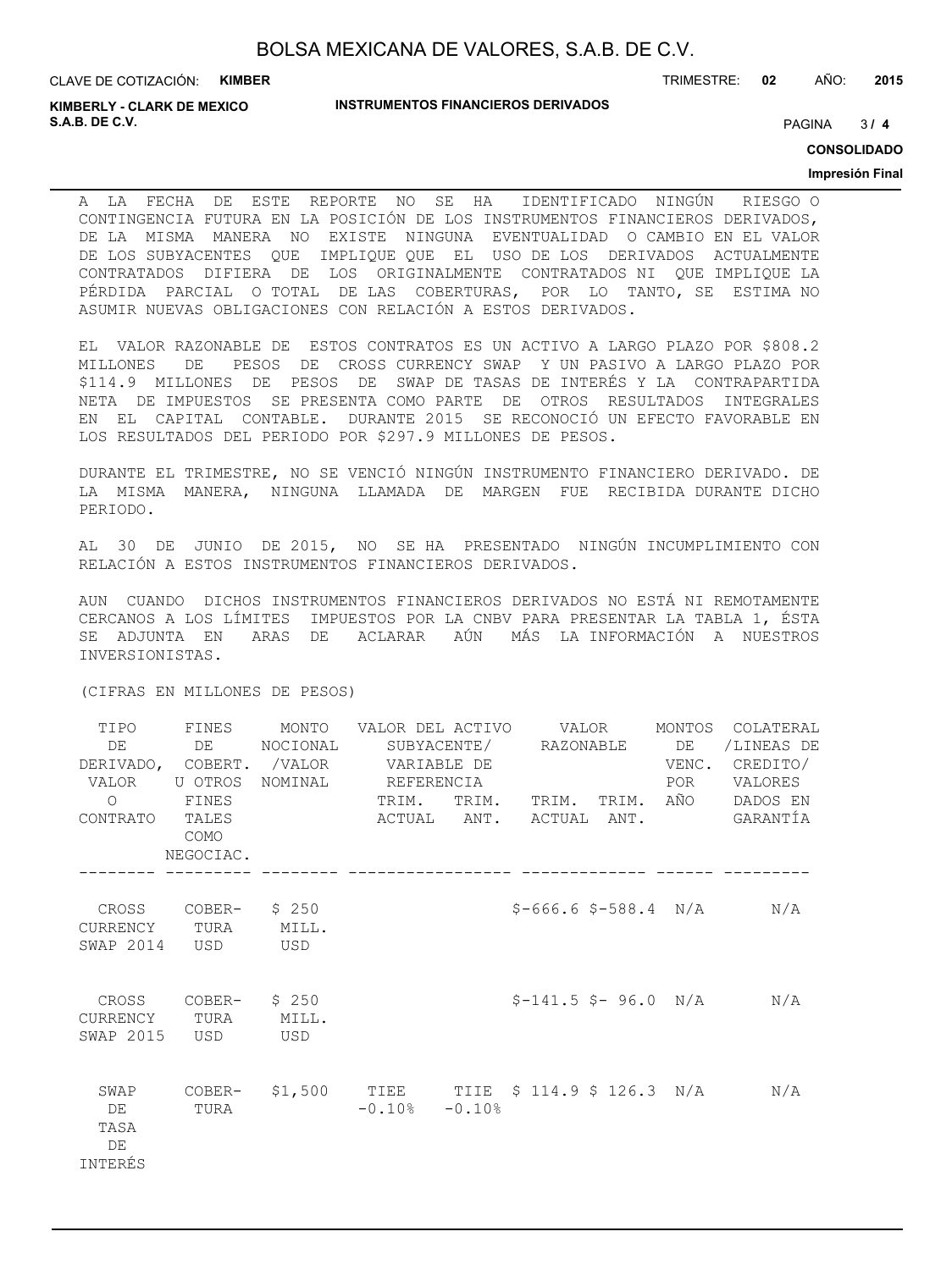**KIMBERLY - CLARK DE MEXICO S.A.B. DE C.V.** PAGINA **/ 4**

TRIMESTRE: **02** AÑO: **2015**

 $3/4$ 

**CONSOLIDADO**

#### **Impresión Final**

A LA FECHA DE ESTE REPORTE NO SE HA IDENTIFICADO NINGÚN RIESGO O CONTINGENCIA FUTURA EN LA POSICIÓN DE LOS INSTRUMENTOS FINANCIEROS DERIVADOS, DE LA MISMA MANERA NO EXISTE NINGUNA EVENTUALIDAD O CAMBIO EN EL VALOR DE LOS SUBYACENTES QUE IMPLIQUE QUE EL USO DE LOS DERIVADOS ACTUALMENTE CONTRATADOS DIFIERA DE LOS ORIGINALMENTE CONTRATADOS NI QUE IMPLIQUE LA PÉRDIDA PARCIAL O TOTAL DE LAS COBERTURAS, POR LO TANTO, SE ESTIMA NO ASUMIR NUEVAS OBLIGACIONES CON RELACIÓN A ESTOS DERIVADOS.

EL VALOR RAZONABLE DE ESTOS CONTRATOS ES UN ACTIVO A LARGO PLAZO POR \$808.2 MILLONES DE PESOS DE CROSS CURRENCY SWAP Y UN PASIVO A LARGO PLAZO POR \$114.9 MILLONES DE PESOS DE SWAP DE TASAS DE INTERÉS Y LA CONTRAPARTIDA NETA DE IMPUESTOS SE PRESENTA COMO PARTE DE OTROS RESULTADOS INTEGRALES EN EL CAPITAL CONTABLE. DURANTE 2015 SE RECONOCIÓ UN EFECTO FAVORABLE EN LOS RESULTADOS DEL PERIODO POR \$297.9 MILLONES DE PESOS.

DURANTE EL TRIMESTRE, NO SE VENCIÓ NINGÚN INSTRUMENTO FINANCIERO DERIVADO. DE LA MISMA MANERA, NINGUNA LLAMADA DE MARGEN FUE RECIBIDA DURANTE DICHO PERIODO.

AL 30 DE JUNIO DE 2015, NO SE HA PRESENTADO NINGÚN INCUMPLIMIENTO CON RELACIÓN A ESTOS INSTRUMENTOS FINANCIEROS DERIVADOS.

AUN CUANDO DICHOS INSTRUMENTOS FINANCIEROS DERIVADOS NO ESTÁ NI REMOTAMENTE CERCANOS A LOS LÍMITES IMPUESTOS POR LA CNBV PARA PRESENTAR LA TABLA 1, ÉSTA SE ADJUNTA EN ARAS DE ACLARAR AÚN MÁS LA INFORMACIÓN A NUESTROS INVERSIONISTAS.

(CIFRAS EN MILLONES DE PESOS)

| TIPO<br>DE<br>VALOR U OTROS<br>$\Omega$ | FINES<br>DE DE<br>FINES    | MONTO VALOR DEL ACTIVO      VALOR<br>NOCIONAL<br>DERIVADO, COBERT. /VALOR VARIABLE DE<br>NOMINAL REFERENCIA | TRIM.               | TRIM. TRIM. TRIM. AÑO  | POR | MONTOS COLATERAL<br>/LINEAS DE<br>VENC. CREDITO/<br>VALORES<br>DADOS EN |
|-----------------------------------------|----------------------------|-------------------------------------------------------------------------------------------------------------|---------------------|------------------------|-----|-------------------------------------------------------------------------|
| CONTRATO TALES                          | COMO<br>NEGOCIAC.          |                                                                                                             |                     |                        |     | ACTUAL ANT. ACTUAL ANT. GARANTÍA                                        |
| CURRENCY TURA MILL.<br>SWAP 2014        | CROSS COBER- \$250<br>USD  | <b>USD</b>                                                                                                  |                     | $$-666.6$ \$-588.4 N/A |     | N/A                                                                     |
| CURRENCY TURA MILL.<br>SWAP 2015        | CROSS COBER- $$250$<br>USD | USD <sup>1</sup>                                                                                            |                     | $S-141.5 S-96.0 N/A$   |     | N/A                                                                     |
| SWAP<br>DE<br>TASA<br>DE<br>INTERÉS     | TURA                       | COBER- \$1,500 TIEE TIIE \$ 114.9 \$ 126.3 N/A                                                              | $-0.10$ % $-0.10$ % |                        |     | N/A                                                                     |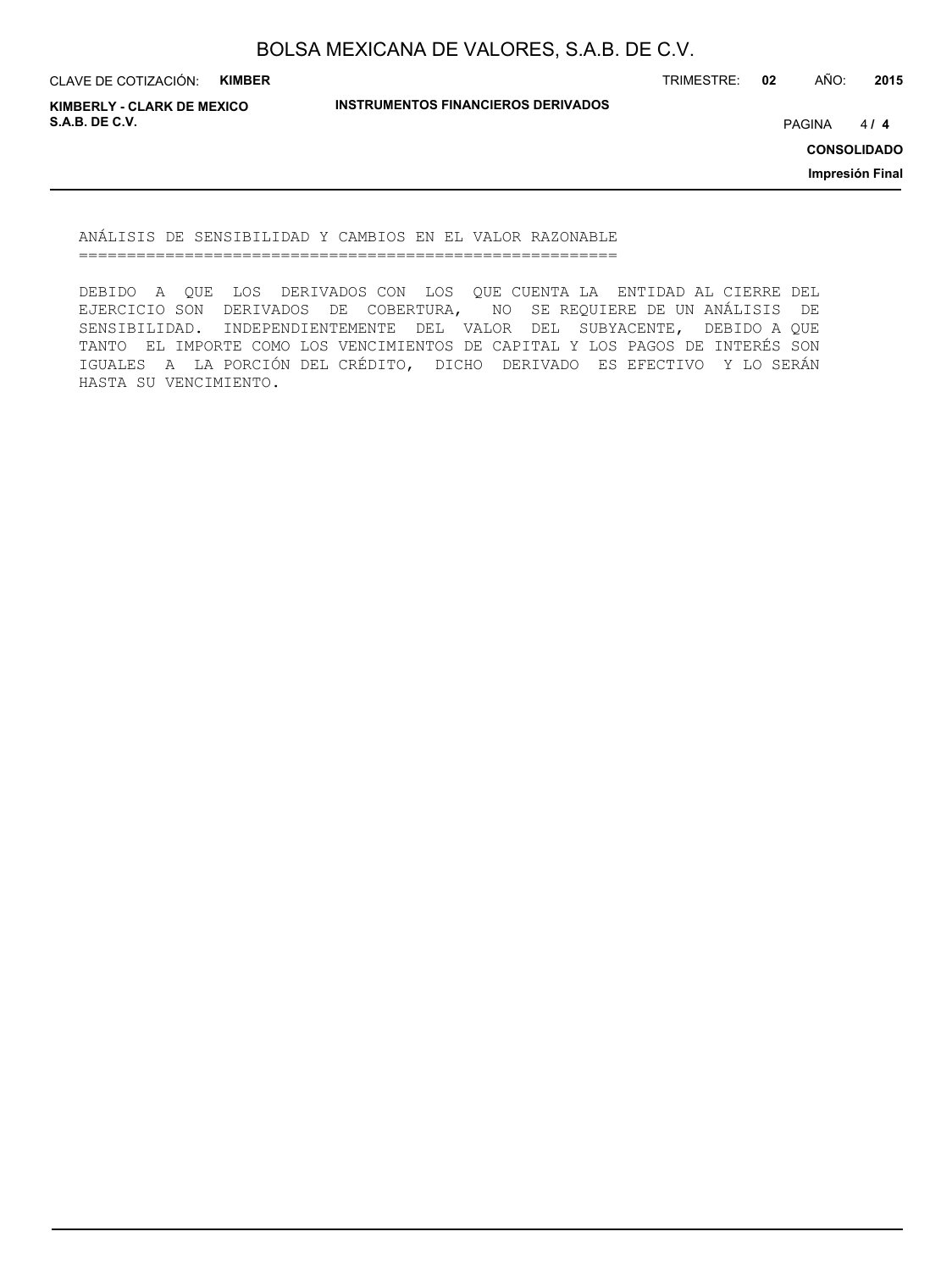CLAVE DE COTIZACIÓN: **KIMBER**

TRIMESTRE: **02** AÑO: **2015**

**KIMBERLY - CLARK DE MEXICO S.A.B. DE C.V.** PAGINA **/ 4**

**INSTRUMENTOS FINANCIEROS DERIVADOS**

 $414$ 

**CONSOLIDADO**

**Impresión Final**

ANÁLISIS DE SENSIBILIDAD Y CAMBIOS EN EL VALOR RAZONABLE ========================================================

DEBIDO A QUE LOS DERIVADOS CON LOS QUE CUENTA LA ENTIDAD AL CIERRE DEL EJERCICIO SON DERIVADOS DE COBERTURA, NO SE REQUIERE DE UN ANÁLISIS DE SENSIBILIDAD. INDEPENDIENTEMENTE DEL VALOR DEL SUBYACENTE, DEBIDO A QUE TANTO EL IMPORTE COMO LOS VENCIMIENTOS DE CAPITAL Y LOS PAGOS DE INTERÉS SON IGUALES A LA PORCIÓN DEL CRÉDITO, DICHO DERIVADO ES EFECTIVO Y LO SERÁN HASTA SU VENCIMIENTO.